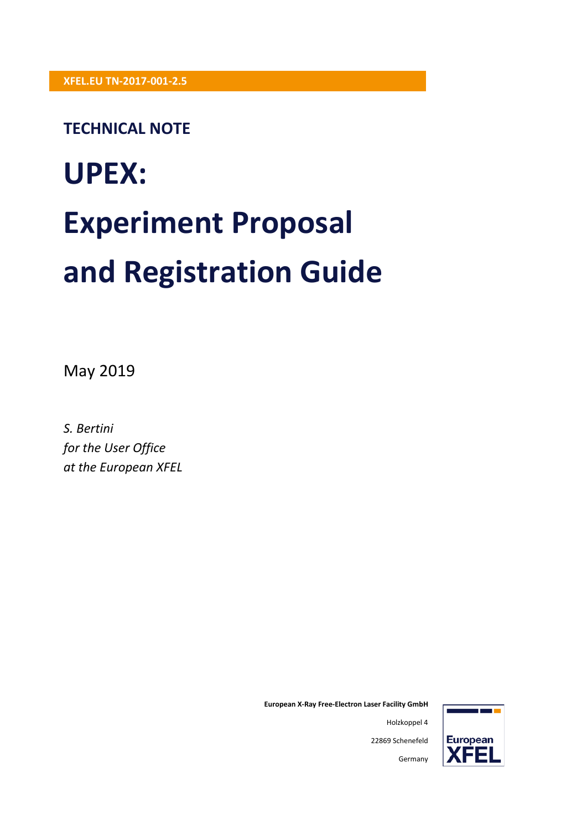### **TECHNICAL NOTE**

# **UPEX: Experiment Proposal and Registration Guide**

May 2019

*S. Bertini for the User Office at the European XFEL*



**European X-Ray Free-Electron Laser Facility GmbH**

22869 Schenefeld

Germany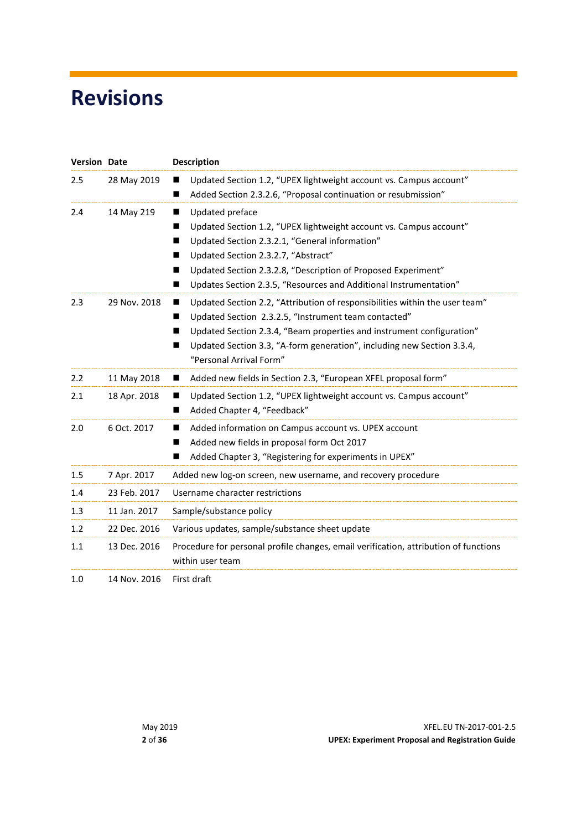# <span id="page-1-0"></span>**Revisions**

| <b>Version Date</b> |              | <b>Description</b>                                                                                                                                                                                                                                                                                                                       |
|---------------------|--------------|------------------------------------------------------------------------------------------------------------------------------------------------------------------------------------------------------------------------------------------------------------------------------------------------------------------------------------------|
| 2.5                 | 28 May 2019  | Updated Section 1.2, "UPEX lightweight account vs. Campus account"<br>Added Section 2.3.2.6, "Proposal continuation or resubmission"<br>■                                                                                                                                                                                                |
| 2.4                 | 14 May 219   | Updated preface<br>ш<br>Updated Section 1.2, "UPEX lightweight account vs. Campus account"<br>Updated Section 2.3.2.1, "General information"<br>■<br>Updated Section 2.3.2.7, "Abstract"<br>Updated Section 2.3.2.8, "Description of Proposed Experiment"<br>■<br>Updates Section 2.3.5, "Resources and Additional Instrumentation"<br>■ |
| 2.3                 | 29 Nov. 2018 | Updated Section 2.2, "Attribution of responsibilities within the user team"<br>▬<br>Updated Section 2.3.2.5, "Instrument team contacted"<br>Updated Section 2.3.4, "Beam properties and instrument configuration"<br>Updated Section 3.3, "A-form generation", including new Section 3.3.4,<br>"Personal Arrival Form"                   |
| 2.2                 | 11 May 2018  | Added new fields in Section 2.3, "European XFEL proposal form"<br>ш                                                                                                                                                                                                                                                                      |
| 2.1                 | 18 Apr. 2018 | Updated Section 1.2, "UPEX lightweight account vs. Campus account"<br>ш<br>Added Chapter 4, "Feedback"<br>■                                                                                                                                                                                                                              |
| 2.0                 | 6 Oct. 2017  | Added information on Campus account vs. UPEX account<br>ш<br>Added new fields in proposal form Oct 2017<br>Added Chapter 3, "Registering for experiments in UPEX"                                                                                                                                                                        |
| $1.5\,$             | 7 Apr. 2017  | Added new log-on screen, new username, and recovery procedure                                                                                                                                                                                                                                                                            |
| 1.4                 | 23 Feb. 2017 | Username character restrictions                                                                                                                                                                                                                                                                                                          |
| 1.3                 | 11 Jan. 2017 | Sample/substance policy                                                                                                                                                                                                                                                                                                                  |
| 1.2                 | 22 Dec. 2016 | Various updates, sample/substance sheet update                                                                                                                                                                                                                                                                                           |
| 1.1                 | 13 Dec. 2016 | Procedure for personal profile changes, email verification, attribution of functions<br>within user team                                                                                                                                                                                                                                 |
| 1.0                 | 14 Nov. 2016 | First draft                                                                                                                                                                                                                                                                                                                              |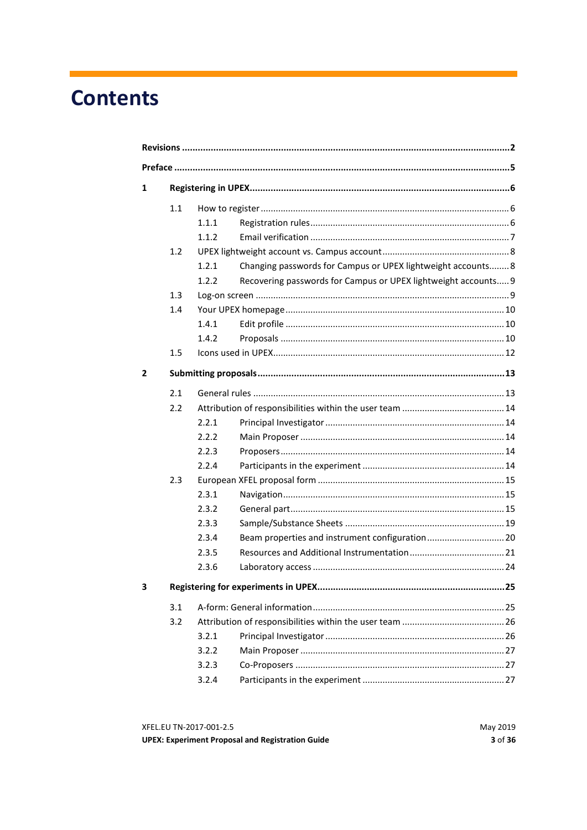# **Contents**

| 1 |     |       |                                                                |  |
|---|-----|-------|----------------------------------------------------------------|--|
|   | 1.1 |       |                                                                |  |
|   |     | 1.1.1 |                                                                |  |
|   |     | 1.1.2 |                                                                |  |
|   | 1.2 |       |                                                                |  |
|   |     | 1.2.1 | Changing passwords for Campus or UPEX lightweight accounts 8   |  |
|   |     | 1.2.2 | Recovering passwords for Campus or UPEX lightweight accounts 9 |  |
|   | 1.3 |       |                                                                |  |
|   | 1.4 |       |                                                                |  |
|   |     | 1.4.1 |                                                                |  |
|   |     | 1.4.2 |                                                                |  |
|   | 1.5 |       |                                                                |  |
| 2 |     |       |                                                                |  |
|   | 2.1 |       |                                                                |  |
|   | 2.2 |       |                                                                |  |
|   |     | 2.2.1 |                                                                |  |
|   |     | 2.2.2 |                                                                |  |
|   |     | 2.2.3 |                                                                |  |
|   |     | 2.2.4 |                                                                |  |
|   | 2.3 |       |                                                                |  |
|   |     | 2.3.1 |                                                                |  |
|   |     | 2.3.2 |                                                                |  |
|   |     | 2.3.3 |                                                                |  |
|   |     | 2.3.4 |                                                                |  |
|   |     | 2.3.5 |                                                                |  |
|   |     | 2.3.6 |                                                                |  |
| з |     |       |                                                                |  |
|   | 3.1 |       |                                                                |  |
|   | 3.2 |       |                                                                |  |
|   |     | 3.2.1 |                                                                |  |
|   |     | 3.2.2 |                                                                |  |
|   |     | 3.2.3 |                                                                |  |
|   |     | 3.2.4 |                                                                |  |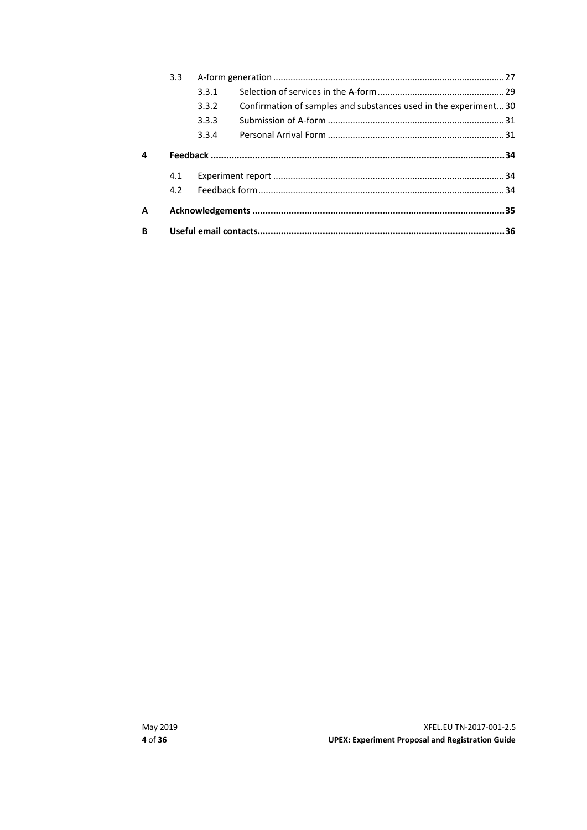|   | 3.3 <sub>1</sub> |       |                                                                 |  |
|---|------------------|-------|-----------------------------------------------------------------|--|
|   |                  | 3.3.1 |                                                                 |  |
|   |                  | 3.3.2 | Confirmation of samples and substances used in the experiment30 |  |
|   |                  | 3.3.3 |                                                                 |  |
|   |                  | 3.3.4 |                                                                 |  |
| 4 |                  |       |                                                                 |  |
|   | 4.1              |       |                                                                 |  |
|   | 4.2              |       |                                                                 |  |
| А |                  |       |                                                                 |  |
| B |                  |       |                                                                 |  |
|   |                  |       |                                                                 |  |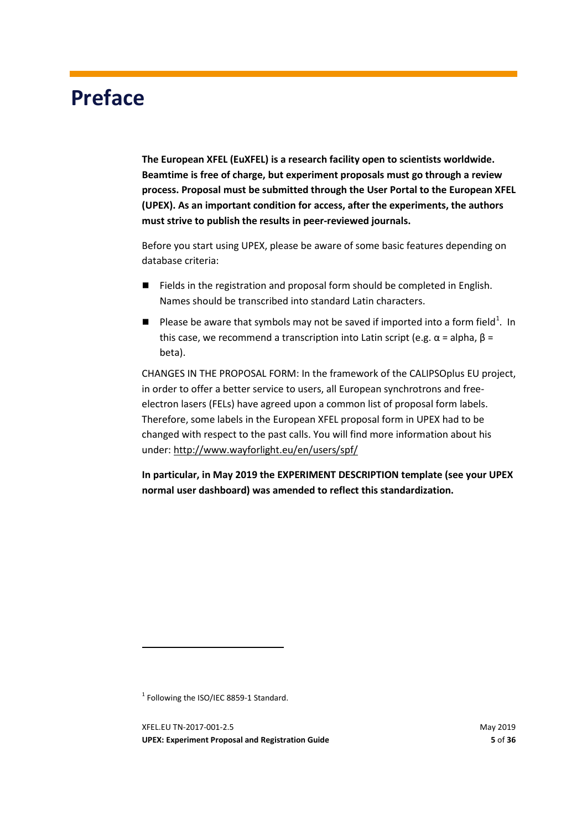# <span id="page-4-0"></span>**Preface**

**The European XFEL (EuXFEL) is a research facility open to scientists worldwide. Beamtime is free of charge, but experiment proposals must go through a review process. Proposal must be submitted through the User Portal to the European XFEL (UPEX). As an important condition for access, after the experiments, the authors must strive to publish the results in peer-reviewed journals.**

Before you start using UPEX, please be aware of some basic features depending on database criteria:

- Fields in the registration and proposal form should be completed in English. Names should be transcribed into standard Latin characters.
- **Please be aware that symbols may not be saved if imported into a form field**<sup>[1](#page-4-1)</sup>. In this case, we recommend a transcription into Latin script (e.g.  $\alpha$  = alpha,  $\beta$  = beta).

CHANGES IN THE PROPOSAL FORM: In the framework of the CALIPSOplus EU project, in order to offer a better service to users, all European synchrotrons and freeelectron lasers (FELs) have agreed upon a common list of proposal form labels. Therefore, some labels in the European XFEL proposal form in UPEX had to be changed with respect to the past calls. You will find more information about his under: <http://www.wayforlight.eu/en/users/spf/>

**In particular, in May 2019 the EXPERIMENT DESCRIPTION template (see your UPEX normal user dashboard) was amended to reflect this standardization.** 

<span id="page-4-1"></span><sup>1</sup> Following the ISO/IEC 8859-1 Standard.

**.** 

XFEL.EU TN-2017-001-2.5 May 2019 **UPEX: Experiment Proposal and Registration Guide 5** of **36**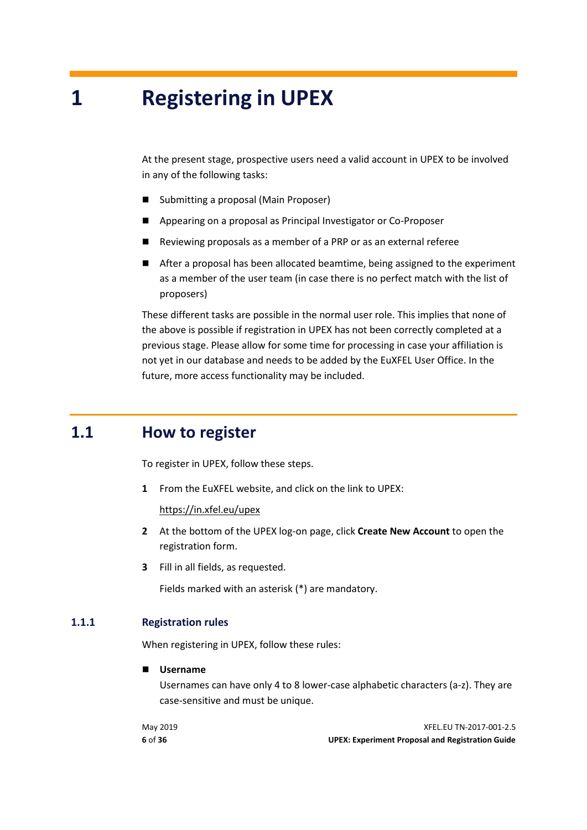# <span id="page-5-0"></span>**1 Registering in UPEX**

At the present stage, prospective users need a valid account in UPEX to be involved in any of the following tasks:

- Submitting a proposal (Main Proposer)
- Appearing on a proposal as Principal Investigator or Co-Proposer
- Reviewing proposals as a member of a PRP or as an external referee
- After a proposal has been allocated beamtime, being assigned to the experiment as a member of the user team (in case there is no perfect match with the list of proposers)

These different tasks are possible in the normal user role. This implies that none of the above is possible if registration in UPEX has not been correctly completed at a previous stage. Please allow for some time for processing in case your affiliation is not yet in our database and needs to be added by the EuXFEL User Office. In the future, more access functionality may be included.

### **1.1 How to register**

<span id="page-5-1"></span>To register in UPEX, follow these steps.

**1** From the EuXFEL website, and click on the link to UPEX:

<https://in.xfel.eu/upex>

- **2** At the bottom of the UPEX log-on page, click **Create New Account** to open the registration form.
- **3** Fill in all fields, as requested.

<span id="page-5-2"></span>Fields marked with an asterisk (\*) are mandatory.

#### **1.1.1 Registration rules**

When registering in UPEX, follow these rules:

**Username**

Usernames can have only 4 to 8 lower-case alphabetic characters (a-z). They are case-sensitive and must be unique.

May 2019 XFEL.EU TN-2017-001-2.5 **6** of **36 UPEX: Experiment Proposal and Registration Guide**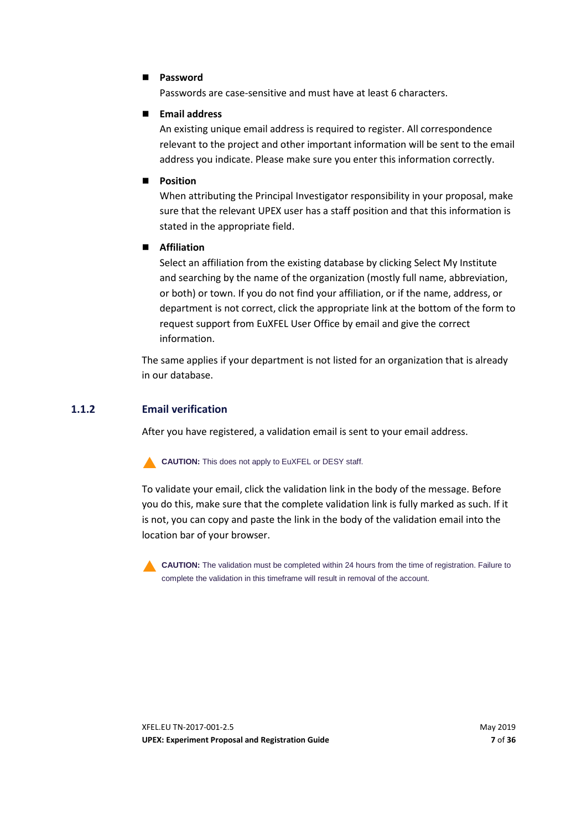#### **Password**

Passwords are case-sensitive and must have at least 6 characters.

#### **Email address**

An existing unique email address is required to register. All correspondence relevant to the project and other important information will be sent to the email address you indicate. Please make sure you enter this information correctly.

#### **Position**

When attributing the Principal Investigator responsibility in your proposal, make sure that the relevant UPEX user has a staff position and that this information is stated in the appropriate field.

#### **Affiliation**

Select an affiliation from the existing database by clicking Select My Institute and searching by the name of the organization (mostly full name, abbreviation, or both) or town. If you do not find your affiliation, or if the name, address, or department is not correct, click the appropriate link at the bottom of the form to request support from EuXFEL User Office by email and give the correct information.

The same applies if your department is not listed for an organization that is already in our database.

#### **1.1.2 Email verification**

<span id="page-6-0"></span>After you have registered, a validation email is sent to your email address.

**CAUTION:** This does not apply to EuXFEL or DESY staff.

To validate your email, click the validation link in the body of the message. Before you do this, make sure that the complete validation link is fully marked as such. If it is not, you can copy and paste the link in the body of the validation email into the location bar of your browser.



**CAUTION:** The validation must be completed within 24 hours from the time of registration. Failure to complete the validation in this timeframe will result in removal of the account.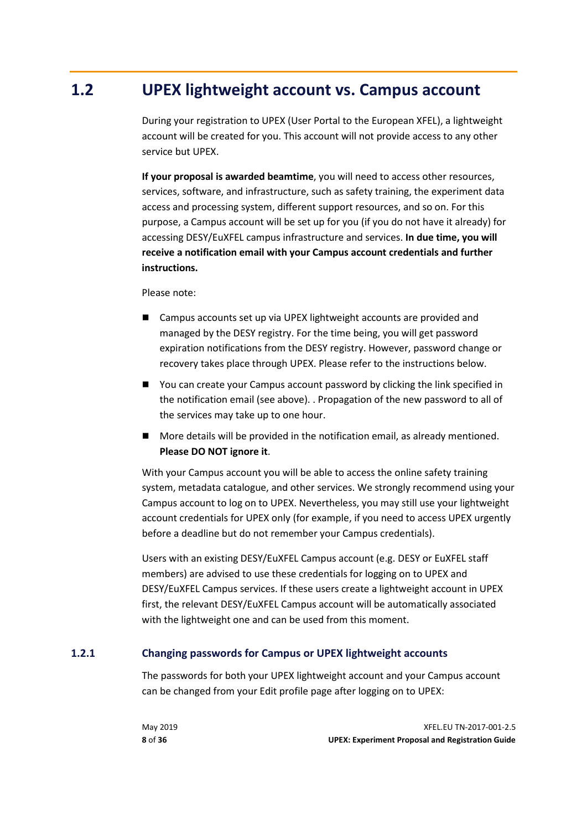### **1.2 UPEX lightweight account vs. Campus account**

<span id="page-7-0"></span>During your registration to UPEX (User Portal to the European XFEL), a lightweight account will be created for you. This account will not provide access to any other service but UPEX.

**If your proposal is awarded beamtime**, you will need to access other resources, services, software, and infrastructure, such as safety training, the experiment data access and processing system, different support resources, and so on. For this purpose, a Campus account will be set up for you (if you do not have it already) for accessing DESY/EuXFEL campus infrastructure and services. **In due time, you will receive a notification email with your Campus account credentials and further instructions.**

#### Please note:

- Campus accounts set up via UPEX lightweight accounts are provided and managed by the DESY registry. For the time being, you will get password expiration notifications from the DESY registry. However, password change or recovery takes place through UPEX. Please refer to the instructions below.
- You can create your Campus account password by clicking the link specified in the notification email (see above). . Propagation of the new password to all of the services may take up to one hour.
- **More details will be provided in the notification email, as already mentioned. Please DO NOT ignore it**.

With your Campus account you will be able to access the online safety training system, metadata catalogue, and other services. We strongly recommend using your Campus account to log on to UPEX. Nevertheless, you may still use your lightweight account credentials for UPEX only (for example, if you need to access UPEX urgently before a deadline but do not remember your Campus credentials).

Users with an existing DESY/EuXFEL Campus account (e.g. DESY or EuXFEL staff members) are advised to use these credentials for logging on to UPEX and DESY/EuXFEL Campus services. If these users create a lightweight account in UPEX first, the relevant DESY/EuXFEL Campus account will be automatically associated with the lightweight one and can be used from this moment.

#### **1.2.1 Changing passwords for Campus or UPEX lightweight accounts**

<span id="page-7-1"></span>The passwords for both your UPEX lightweight account and your Campus account can be changed from your Edit profile page after logging on to UPEX: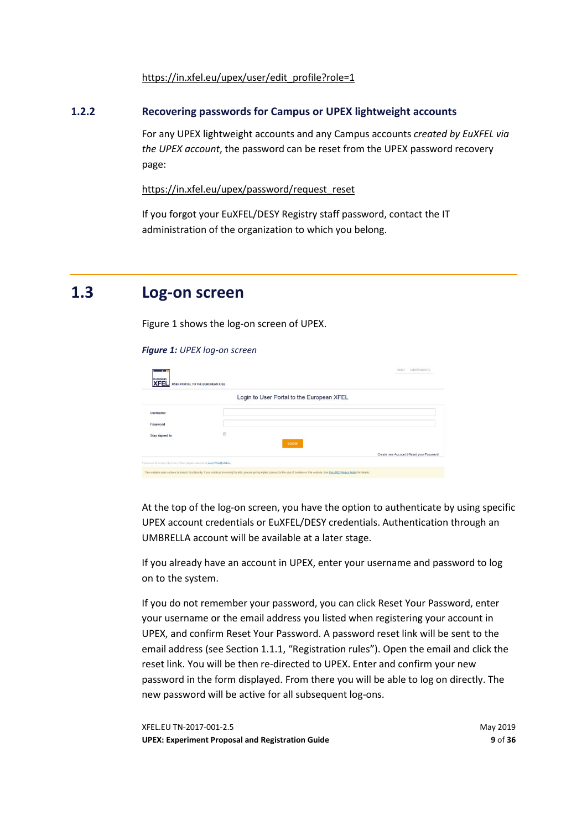<span id="page-8-0"></span>[https://in.xfel.eu/upex/user/edit\\_profile?role=1](https://in.xfel.eu/upex/user/edit_profile?role=1)

#### **1.2.2 Recovering passwords for Campus or UPEX lightweight accounts**

For any UPEX lightweight accounts and any Campus accounts *created by EuXFEL via the UPEX account*, the password can be reset from the UPEX password recovery page:

[https://in.xfel.eu/upex/password/request\\_reset](https://in.xfel.eu/upex/password/request_reset)

<span id="page-8-1"></span>If you forgot your EuXFEL/DESY Registry staff password, contact the IT administration of the organization to which you belong.

### **1.3 Log-on screen**

Figure 1 shows the log-on screen of UPEX.

#### *Figure 1: UPEX log-on screen*

| European<br><b>XFEL</b>                                                      | <b>USER PORTAL TO THE EUROPEAN XFEL</b>   | HOME EUROPEAN XFEL                       |
|------------------------------------------------------------------------------|-------------------------------------------|------------------------------------------|
|                                                                              | Login to User Portal to the European XFEL |                                          |
| <b>Username</b>                                                              |                                           |                                          |
| Password                                                                     |                                           |                                          |
| Stay signed in                                                               | Đ<br>- 10<br><b>LOGIN</b>                 |                                          |
|                                                                              |                                           | Create new Account   Reset your Password |
| I you need to contact the User office, please email us at useroffice@xfel.eu |                                           |                                          |

At the top of the log-on screen, you have the option to authenticate by using specific UPEX account credentials or EuXFEL/DESY credentials. Authentication through an UMBRELLA account will be available at a later stage.

If you already have an account in UPEX, enter your username and password to log on to the system.

If you do not remember your password, you can click Reset Your Password, enter your username or the email address you listed when registering your account in UPEX, and confirm Reset Your Password. A password reset link will be sent to the email address (see Section [1.1.1,](#page-5-2) ["Registration rules"](#page-5-2)). Open the email and click the reset link. You will be then re-directed to UPEX. Enter and confirm your new password in the form displayed. From there you will be able to log on directly. The new password will be active for all subsequent log-ons.

XFEL.EU TN-2017-001-2.5 May 2019 **UPEX: Experiment Proposal and Registration Guide 9** of **36**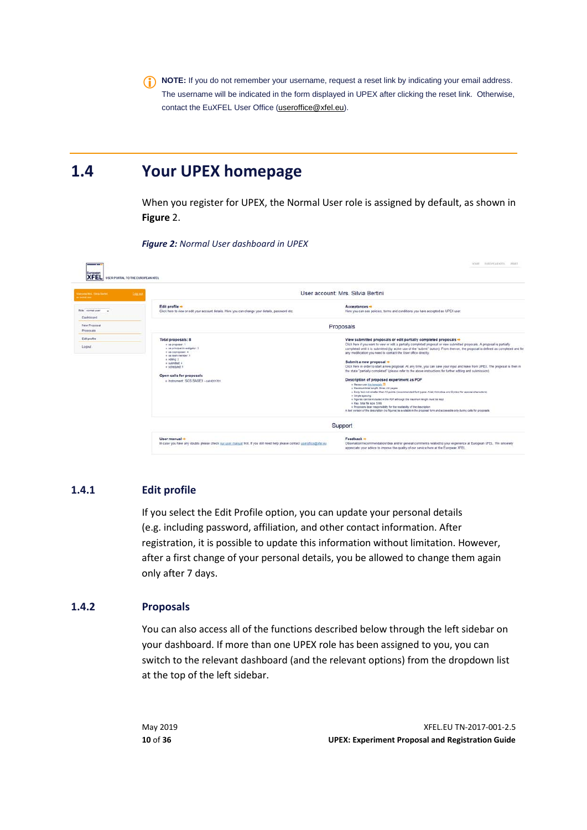<span id="page-9-0"></span>**NOTE:** If you do not remember your username, request a reset link by indicating your email address. The username will be indicated in the form displayed in UPEX after clicking the reset link. Otherwise, contact the EuXFEL User Office [\(useroffice@xfel.eu\)](mailto:useroffice@xfel.eu).

## **1.4 Your UPEX homepage**

When you register for UPEX, the Normal User role is assigned by default, as shown in **Figure** 2.

| <b>XFEL</b> USER PORTAL TO THE EUROPEAN XFEL              |                                                                                                                                                                                                                                                |                                                                                                                                                                                                                                                                                                                                                                                                                                                                                                                                                                                                                                                                                                                                                                                                                                                                                                                                                                                                                                                                                                                                                                                                                                                                                      |
|-----------------------------------------------------------|------------------------------------------------------------------------------------------------------------------------------------------------------------------------------------------------------------------------------------------------|--------------------------------------------------------------------------------------------------------------------------------------------------------------------------------------------------------------------------------------------------------------------------------------------------------------------------------------------------------------------------------------------------------------------------------------------------------------------------------------------------------------------------------------------------------------------------------------------------------------------------------------------------------------------------------------------------------------------------------------------------------------------------------------------------------------------------------------------------------------------------------------------------------------------------------------------------------------------------------------------------------------------------------------------------------------------------------------------------------------------------------------------------------------------------------------------------------------------------------------------------------------------------------------|
| <b>Vecume NH</b> , Silvie Barbell<br><b>Miller School</b> | Log.or                                                                                                                                                                                                                                         | User account: Mrs. Silvia Bertini                                                                                                                                                                                                                                                                                                                                                                                                                                                                                                                                                                                                                                                                                                                                                                                                                                                                                                                                                                                                                                                                                                                                                                                                                                                    |
| Role: normal user<br>Oashboard                            | Edit profile -<br>Click here to view or edit your account details. Here you can change your details, password etc.                                                                                                                             | Acceptances -<br>Here you can see policies, terms and conditions you have accepted as UPEX user.                                                                                                                                                                                                                                                                                                                                                                                                                                                                                                                                                                                                                                                                                                                                                                                                                                                                                                                                                                                                                                                                                                                                                                                     |
| New Proposal<br>Proposals                                 |                                                                                                                                                                                                                                                | Proposals                                                                                                                                                                                                                                                                                                                                                                                                                                                                                                                                                                                                                                                                                                                                                                                                                                                                                                                                                                                                                                                                                                                                                                                                                                                                            |
| Edit profile<br>Logout                                    | Total proposals: 8<br># as proposer: 1<br>o as principal investigator. 3.<br># as coproposer: 4<br>» as lean member: 1<br>a editor 3<br>o submitted: 4<br>« scheduled: 1<br>Open calls for proposals<br>o Instrument: SCS SASE3 - cat #201701. | View submitted proposals or edit partially completed proposals +<br>Click here if you want to view or edit a partially completed proposal or view submitted proposals. A proposal is partially<br>completed until it is submitted (by active use of the "submit" button). From then on, the proposal is defined as completed and for<br>any modification you need to contact the User office directly.<br>Submit a new proposal +<br>Click here in order to start a new proposal. At any time, you can save your input and leave from UPEX. The proposal is then in<br>the state "partially completed" (please refer to the above instructions for further editing and submission).<br>Description of proposed experiment as PDF<br>o Please use the template of<br>e Maximum total length: three A4 pages.<br>. Body text not amater than 10 points (recommended foot types) Arisi, Helvetics and Symbol for apecial characters).<br>+ Single spacing<br>+ Figures can be included in the PDF athough the maximum length must be kept<br>+ Max. total file size: 5 Mb<br>« Proposers bear responsibility for the readability of the description<br>A text version of the description (no figures) is available in the proposal form and accessible only during calls for proposals. |
|                                                           |                                                                                                                                                                                                                                                | Support                                                                                                                                                                                                                                                                                                                                                                                                                                                                                                                                                                                                                                                                                                                                                                                                                                                                                                                                                                                                                                                                                                                                                                                                                                                                              |
|                                                           | User manual +<br>In case you have any doubts please check our user manual first. If you still need help please contact useroffice@ofel au                                                                                                      | Feedback +<br>Observation/recommendation/idea and/or general comments related to your experience at European XFEL. We sincerely<br>appreciate your advice to improve the quality of our service here at the European XFEL.                                                                                                                                                                                                                                                                                                                                                                                                                                                                                                                                                                                                                                                                                                                                                                                                                                                                                                                                                                                                                                                           |

*Figure 2: Normal User dashboard in UPEX*

#### **1.4.1 Edit profile**

<span id="page-9-1"></span>If you select the Edit Profile option, you can update your personal details (e.g. including password, affiliation, and other contact information. After registration, it is possible to update this information without limitation. However, after a first change of your personal details, you be allowed to change them again only after 7 days.

#### **1.4.2 Proposals**

<span id="page-9-2"></span>You can also access all of the functions described below through the left sidebar on your dashboard. If more than one UPEX role has been assigned to you, you can switch to the relevant dashboard (and the relevant options) from the dropdown list at the top of the left sidebar.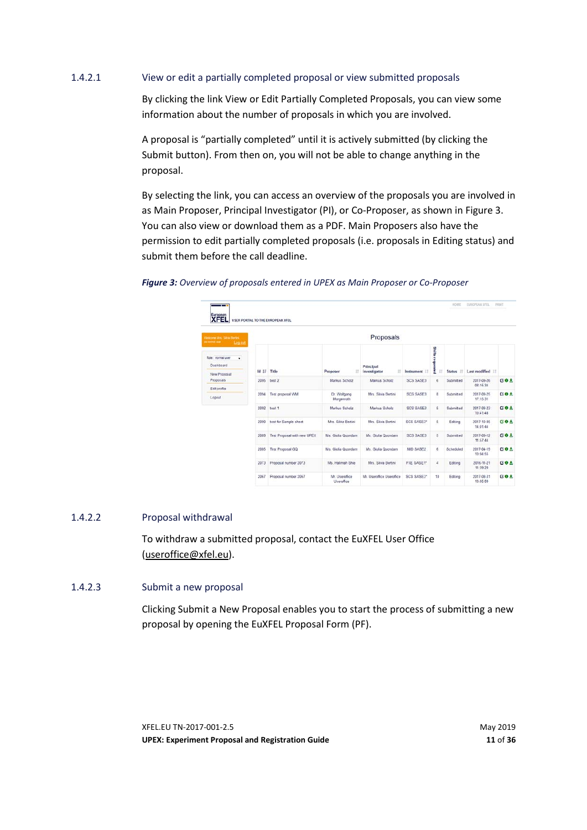#### 1.4.2.1 View or edit a partially completed proposal or view submitted proposals

By clicking the link View or Edit Partially Completed Proposals, you can view some information about the number of proposals in which you are involved.

A proposal is "partially completed" until it is actively submitted (by clicking the Submit button). From then on, you will not be able to change anything in the proposal.

By selecting the link, you can access an overview of the proposals you are involved in as Main Proposer, Principal Investigator (PI), or Co-Proposer, as shown in [Figure 3.](#page-10-0) You can also view or download them as a PDF. Main Proposers also have the permission to edit partially completed proposals (i.e. proposals in Editing status) and submit them before the call deadline.

| European<br><b>XFEL</b>                                            |              | USER PORTAL TO THE EUROPEAN XFEL |                              |                                |                   |                          |                     |                        |                    |
|--------------------------------------------------------------------|--------------|----------------------------------|------------------------------|--------------------------------|-------------------|--------------------------|---------------------|------------------------|--------------------|
| Velcome Mrs. Silvia Bertini<br><b>Chemistral school</b><br>Leg out |              | Proposals                        |                              |                                |                   |                          |                     |                        |                    |
| Role: normal user<br>٠<br>Dashboard<br>New Proposal                | $Id$ $I$ $F$ | Title                            | Proposer<br>Ħ                | Principal<br>investigator<br>Ħ | Instrument        | Shifts reque<br>ă        | 17<br><b>Status</b> | Last modified          |                    |
| Proposals                                                          | 2095         | test 2                           | Markus Scholz                | Markus Scholz                  | <b>SCS SASE3</b>  | 6                        | Submitted           | 2017-09-26<br>08 15 34 | $G$ <b>O</b> $\pm$ |
| Edit profile<br>Logout                                             | 2094         | Test proposal WM                 | Dr. Wolfgang<br>Morgenroth   | Mrs. Silvia Bertini            | <b>SCS SASE3</b>  | B                        | Submitted           | 2017-09-25<br>17:15:31 | $C = 1$            |
|                                                                    | 2092         | test 1                           | Markus Scholz                | Markus Scholz                  | <b>SCS SASE3</b>  | 5                        | Submitted           | 2017-09-23<br>10 41 48 | 図の土                |
|                                                                    | 2090         | test for Sample sheet            | Mrs. Silvia Bertini          | Mrs. Silvia Bertini            | <b>SCS SASE3*</b> | 5                        | Edting              | 2017-10-05<br>14:01:44 | 区口土                |
|                                                                    | 2089         | Test Proposal with new UPEX      | Ms. Giulia Quondam           | Ms. Giulia Quondam             | <b>SCS SASEJ</b>  | $\overline{\phantom{a}}$ | Submitted           | 2017-09-12<br>11:57:44 | $G$ <b>O</b> $\pm$ |
|                                                                    | 2085         | Test Proposal GQ                 | Ms. Giulia Quondam           | Ms. Giulia Quondam             | MD SASE2          | 6                        | Scheduled           | 2017-04-19<br>10:04:55 | <b>GO +</b>        |
|                                                                    | 2073         | Proposal number 2073             | Ms. Halimah Shie             | Mrs. Silvia Bertini            | FXE SASE1*        | $\frac{1}{2}$            | Edong               | 2016-11-21<br>11:39:20 | 区の土                |
|                                                                    | 2067         | Proposal number 2067             | Mr. Useroffice<br>Useroffice | Mr. Useroffice Useroffice      | <b>SCS SASE3*</b> | 10                       | Editing             | 2017-08-31<br>10:05:09 | $0.0 +$            |

<span id="page-10-0"></span>*Figure 3: Overview of proposals entered in UPEX as Main Proposer or Co-Proposer*

#### 1.4.2.2 Proposal withdrawal

To withdraw a submitted proposal, contact the EuXFEL User Office [\(useroffice@xfel.eu\)](mailto:useroffice@xfel.eu).

#### 1.4.2.3 Submit a new proposal

Clicking Submit a New Proposal enables you to start the process of submitting a new proposal by opening the EuXFEL Proposal Form (PF).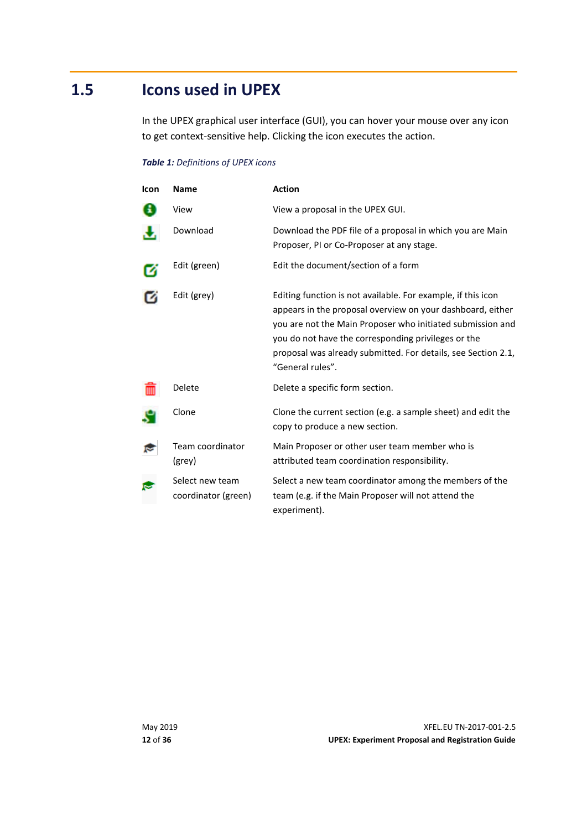### **1.5 Icons used in UPEX**

<span id="page-11-0"></span>In the UPEX graphical user interface (GUI), you can hover your mouse over any icon to get context-sensitive help. Clicking the icon executes the action.

#### *Table 1: Definitions of UPEX icons*

| Icon | <b>Name</b>                            | <b>Action</b>                                                                                                                                                                                                                                                                                                                        |
|------|----------------------------------------|--------------------------------------------------------------------------------------------------------------------------------------------------------------------------------------------------------------------------------------------------------------------------------------------------------------------------------------|
|      | View                                   | View a proposal in the UPEX GUI.                                                                                                                                                                                                                                                                                                     |
|      | Download                               | Download the PDF file of a proposal in which you are Main<br>Proposer, PI or Co-Proposer at any stage.                                                                                                                                                                                                                               |
|      | Edit (green)                           | Edit the document/section of a form                                                                                                                                                                                                                                                                                                  |
|      | Edit (grey)                            | Editing function is not available. For example, if this icon<br>appears in the proposal overview on your dashboard, either<br>you are not the Main Proposer who initiated submission and<br>you do not have the corresponding privileges or the<br>proposal was already submitted. For details, see Section 2.1,<br>"General rules". |
|      | Delete                                 | Delete a specific form section.                                                                                                                                                                                                                                                                                                      |
|      | Clone                                  | Clone the current section (e.g. a sample sheet) and edit the<br>copy to produce a new section.                                                                                                                                                                                                                                       |
|      | Team coordinator<br>(grey)             | Main Proposer or other user team member who is<br>attributed team coordination responsibility.                                                                                                                                                                                                                                       |
|      | Select new team<br>coordinator (green) | Select a new team coordinator among the members of the<br>team (e.g. if the Main Proposer will not attend the<br>experiment).                                                                                                                                                                                                        |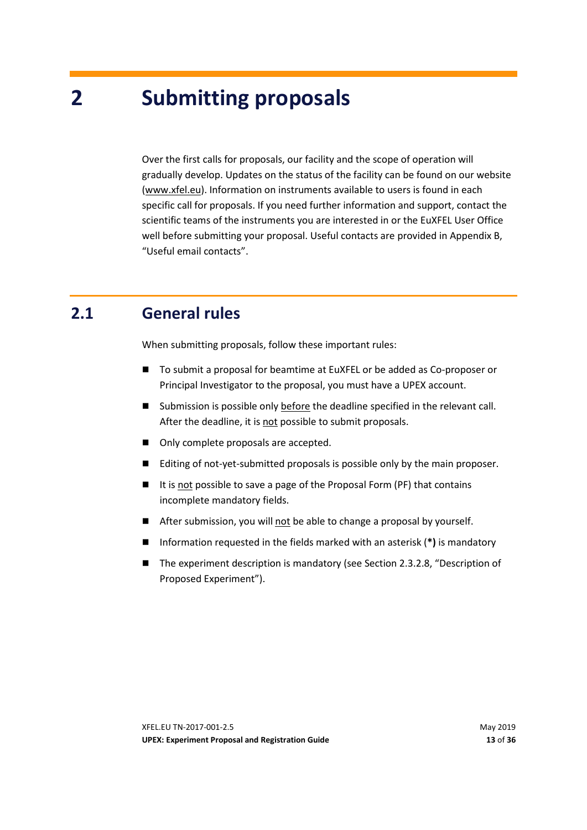# <span id="page-12-0"></span>**2 Submitting proposals**

Over the first calls for proposals, our facility and the scope of operation will gradually develop. Updates on the status of the facility can be found on our website [\(www.xfel.eu\)](https://www.xfel.eu/). Information on instruments available to users is found in each specific call for proposals. If you need further information and support, contact the scientific teams of the instruments you are interested in or the EuXFEL User Office well before submitting your proposal. Useful contacts are provided in Appendix [B,](#page-35-0) ["Useful email contacts"](#page-35-0).

### **2.1 General rules**

<span id="page-12-1"></span>When submitting proposals, follow these important rules:

- To submit a proposal for beamtime at EuXFEL or be added as Co-proposer or Principal Investigator to the proposal, you must have a UPEX account.
- Submission is possible only before the deadline specified in the relevant call. After the deadline, it is not possible to submit proposals.
- Only complete proposals are accepted.
- Editing of not-yet-submitted proposals is possible only by the main proposer.
- It is not possible to save a page of the Proposal Form (PF) that contains incomplete mandatory fields.
- After submission, you will not be able to change a proposal by yourself.
- Information requested in the fields marked with an asterisk (\*) is mandatory
- The experiment description is mandatory (see Section [2.3.2.8,](#page-15-2) "Description of [Proposed Experiment"](#page-15-2)).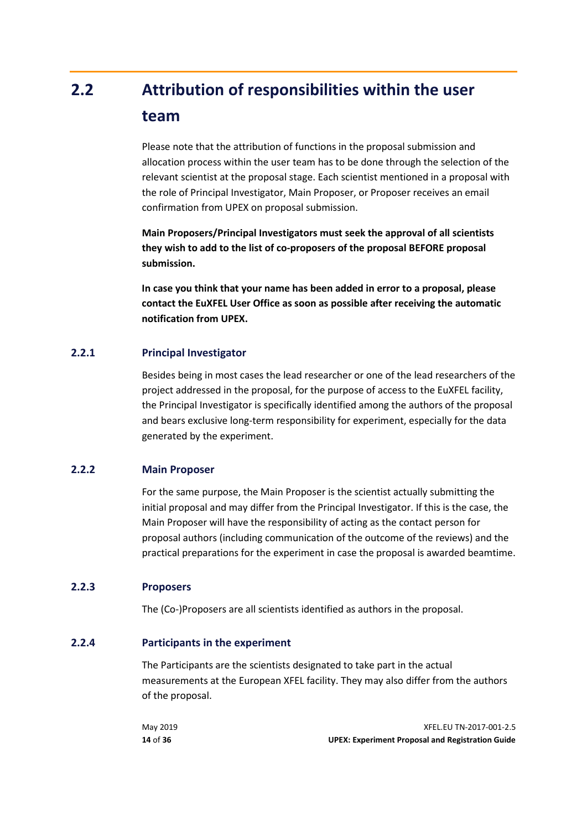# <span id="page-13-0"></span>**2.2 Attribution of responsibilities within the user team**

Please note that the attribution of functions in the proposal submission and allocation process within the user team has to be done through the selection of the relevant scientist at the proposal stage. Each scientist mentioned in a proposal with the role of Principal Investigator, Main Proposer, or Proposer receives an email confirmation from UPEX on proposal submission.

**Main Proposers/Principal Investigators must seek the approval of all scientists they wish to add to the list of co-proposers of the proposal BEFORE proposal submission.**

**In case you think that your name has been added in error to a proposal, please contact the EuXFEL User Office as soon as possible after receiving the automatic notification from UPEX.**

#### **2.2.1 Principal Investigator**

<span id="page-13-1"></span>Besides being in most cases the lead researcher or one of the lead researchers of the project addressed in the proposal, for the purpose of access to the EuXFEL facility, the Principal Investigator is specifically identified among the authors of the proposal and bears exclusive long-term responsibility for experiment, especially for the data generated by the experiment.

#### **2.2.2 Main Proposer**

<span id="page-13-2"></span>For the same purpose, the Main Proposer is the scientist actually submitting the initial proposal and may differ from the Principal Investigator. If this is the case, the Main Proposer will have the responsibility of acting as the contact person for proposal authors (including communication of the outcome of the reviews) and the practical preparations for the experiment in case the proposal is awarded beamtime.

#### **2.2.3 Proposers**

<span id="page-13-4"></span><span id="page-13-3"></span>The (Co-)Proposers are all scientists identified as authors in the proposal.

#### **2.2.4 Participants in the experiment**

The Participants are the scientists designated to take part in the actual measurements at the European XFEL facility. They may also differ from the authors of the proposal.

| May 2019 | XFEL.EU TN-2017-001-2.5                                 |
|----------|---------------------------------------------------------|
| 14 of 36 | <b>UPEX: Experiment Proposal and Registration Guide</b> |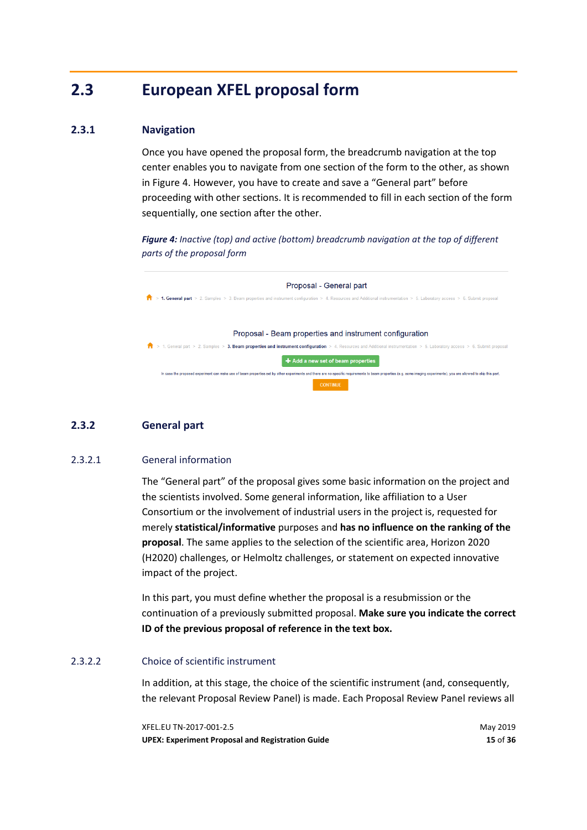### <span id="page-14-1"></span>**2.3 European XFEL proposal form**

#### **2.3.1 Navigation**

<span id="page-14-2"></span>Once you have opened the proposal form, the breadcrumb navigation at the top center enables you to navigate from one section of the form to the other, as shown in [Figure 4.](#page-14-4) However, you have to create and save a "General part" before proceeding with other sections. It is recommended to fill in each section of the form sequentially, one section after the other.

<span id="page-14-4"></span>*Figure 4: Inactive (top) and active (bottom) breadcrumb navigation at the top of different parts of the proposal form*

| Proposal - General part                                                                                                                                                                                                                   |
|-------------------------------------------------------------------------------------------------------------------------------------------------------------------------------------------------------------------------------------------|
| 1. General part > 2. Samples > 3. Beam properties and instrument configuration > 4. Resources and Additional instrumentation > 5. Laboratory access > 6. Submit proposal                                                                  |
|                                                                                                                                                                                                                                           |
| Proposal - Beam properties and instrument configuration                                                                                                                                                                                   |
| > 1. General part > 2. Samples > 3. Beam properties and instrument configuration > 4. Resources and Additional instrumentation > 5. Laboratory access > 6. Submit proposal                                                                |
| $\div$ Add a new set of beam properties                                                                                                                                                                                                   |
| In case the proposed experiment can make use of beam properties set by other experiments and there are no specific requirements to beam properties (e.g. some imaging experiments), you are allowed to skip this part,<br><b>CONTINUE</b> |

#### **2.3.2 General part**

#### 2.3.2.1 General information

<span id="page-14-3"></span><span id="page-14-0"></span>The "General part" of the proposal gives some basic information on the project and the scientists involved. Some general information, like affiliation to a User Consortium or the involvement of industrial users in the project is, requested for merely **statistical/informative** purposes and **has no influence on the ranking of the proposal**. The same applies to the selection of the scientific area, Horizon 2020 (H2020) challenges, or Helmoltz challenges, or statement on expected innovative impact of the project.

In this part, you must define whether the proposal is a resubmission or the continuation of a previously submitted proposal. **Make sure you indicate the correct ID of the previous proposal of reference in the text box.**

#### 2.3.2.2 Choice of scientific instrument

In addition, at this stage, the choice of the scientific instrument (and, consequently, the relevant Proposal Review Panel) is made. Each Proposal Review Panel reviews all

XFEL.EU TN-2017-001-2.5 May 2019 **UPEX: Experiment Proposal and Registration Guide 15** of **36**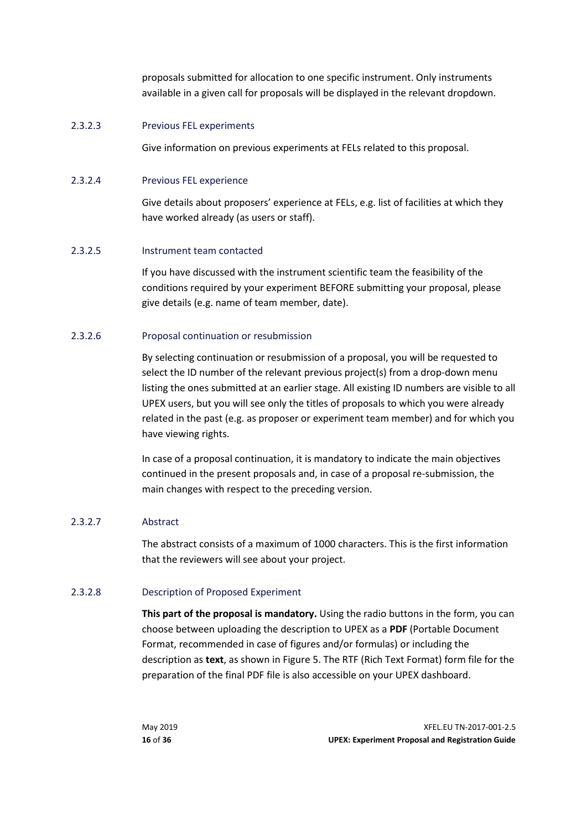proposals submitted for allocation to one specific instrument. Only instruments available in a given call for proposals will be displayed in the relevant dropdown.

#### 2.3.2.3 Previous FEL experiments

Give information on previous experiments at FELs related to this proposal.

#### 2.3.2.4 Previous FEL experience

Give details about proposers' experience at FELs, e.g. list of facilities at which they have worked already (as users or staff).

#### 2.3.2.5 Instrument team contacted

<span id="page-15-3"></span>If you have discussed with the instrument scientific team the feasibility of the conditions required by your experiment BEFORE submitting your proposal, please give details (e.g. name of team member, date).

#### 2.3.2.6 Proposal continuation or resubmission

<span id="page-15-0"></span>By selecting continuation or resubmission of a proposal, you will be requested to select the ID number of the relevant previous project(s) from a drop-down menu listing the ones submitted at an earlier stage. All existing ID numbers are visible to all UPEX users, but you will see only the titles of proposals to which you were already related in the past (e.g. as proposer or experiment team member) and for which you have viewing rights.

In case of a proposal continuation, it is mandatory to indicate the main objectives continued in the present proposals and, in case of a proposal re-submission, the main changes with respect to the preceding version.

#### 2.3.2.7 Abstract

<span id="page-15-1"></span>The abstract consists of a maximum of 1000 characters. This is the first information that the reviewers will see about your project.

#### 2.3.2.8 Description of Proposed Experiment

<span id="page-15-2"></span>**This part of the proposal is mandatory.** Using the radio buttons in the form, you can choose between uploading the description to UPEX as a **PDF** (Portable Document Format, recommended in case of figures and/or formulas) or including the description as **text**, as shown in [Figure 5.](#page-16-0) The RTF (Rich Text Format) form file for the preparation of the final PDF file is also accessible on your UPEX dashboard.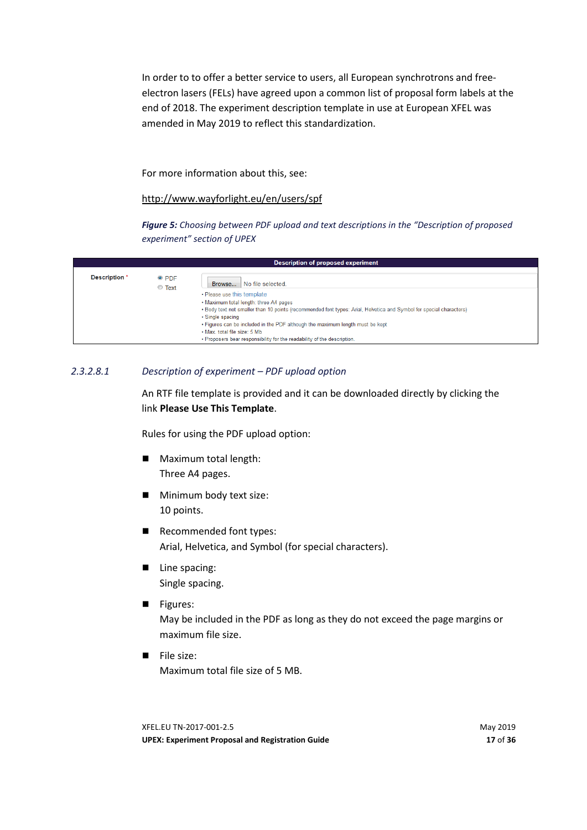In order to to offer a better service to users, all European synchrotrons and freeelectron lasers (FELs) have agreed upon a common list of proposal form labels at the end of 2018. The experiment description template in use at European XFEL was amended in May 2019 to reflect this standardization.

#### For more information about this, see:

#### <http://www.wayforlight.eu/en/users/spf>

<span id="page-16-0"></span>*Figure 5: Choosing between PDF upload and text descriptions in the "Description of proposed experiment" section of UPEX*

|               |                         | <b>Description of proposed experiment</b>                                                                                                                                                                    |
|---------------|-------------------------|--------------------------------------------------------------------------------------------------------------------------------------------------------------------------------------------------------------|
| Description * | $\bullet$ PDF<br>◯ Text | Browse No file selected.                                                                                                                                                                                     |
|               |                         | • Please use this template<br>. Maximum total length: three A4 pages<br>. Body text not smaller than 10 points (recommended font types: Arial, Helvetica and Symbol for special characters)                  |
|               |                         | • Single spacing<br>. Figures can be included in the PDF although the maximum length must be kept<br>• Max, total file size: 5 Mb<br>. Proposers bear responsibility for the readability of the description. |

#### *2.3.2.8.1 Description of experiment – PDF upload option*

An RTF file template is provided and it can be downloaded directly by clicking the link **Please Use This Template**.

Rules for using the PDF upload option:

- Maximum total length: Three A4 pages.
- **Minimum body text size:** 10 points.
- Recommended font types: Arial, Helvetica, and Symbol (for special characters).
- Line spacing: Single spacing.
- **Figures:**

May be included in the PDF as long as they do not exceed the page margins or maximum file size.

**File size:** Maximum total file size of 5 MB.

XFEL.EU TN-2017-001-2.5 May 2019 **UPEX: Experiment Proposal and Registration Guide 17** of **36**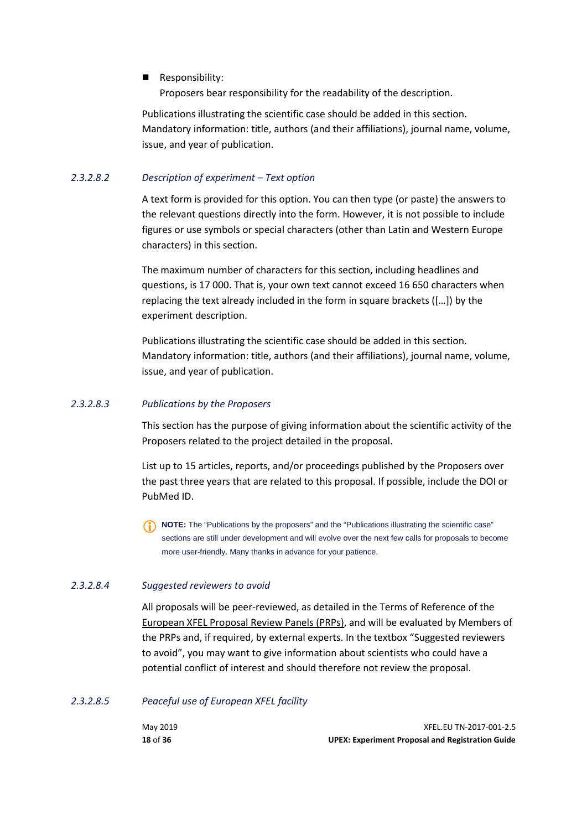#### Responsibility:

Proposers bear responsibility for the readability of the description.

Publications illustrating the scientific case should be added in this section. Mandatory information: title, authors (and their affiliations), journal name, volume, issue, and year of publication.

#### *2.3.2.8.2 Description of experiment – Text option*

A text form is provided for this option. You can then type (or paste) the answers to the relevant questions directly into the form. However, it is not possible to include figures or use symbols or special characters (other than Latin and Western Europe characters) in this section.

The maximum number of characters for this section, including headlines and questions, is 17 000. That is, your own text cannot exceed 16 650 characters when replacing the text already included in the form in square brackets ([…]) by the experiment description.

Publications illustrating the scientific case should be added in this section. Mandatory information: title, authors (and their affiliations), journal name, volume, issue, and year of publication.

#### *2.3.2.8.3 Publications by the Proposers*

This section has the purpose of giving information about the scientific activity of the Proposers related to the project detailed in the proposal.

List up to 15 articles, reports, and/or proceedings published by the Proposers over the past three years that are related to this proposal. If possible, include the DOI or PubMed ID.

**NOTE:** The "Publications by the proposers" and the "Publications illustrating the scientific case" sections are still under development and will evolve over the next few calls for proposals to become more user-friendly. Many thanks in advance for your patience.

#### *2.3.2.8.4 Suggested reviewers to avoid*

All proposals will be peer-reviewed, as detailed in the Terms of Reference of the [European XFEL Proposal Review Panels \(PRPs\),](https://www.xfel.eu/organization/leadership/committees/proposal_review_panels/index_eng.html) and will be evaluated by Members of the PRPs and, if required, by external experts. In the textbox "Suggested reviewers to avoid", you may want to give information about scientists who could have a potential conflict of interest and should therefore not review the proposal.

#### *2.3.2.8.5 Peaceful use of European XFEL facility*

| May 2019 | XFEL.EU TN-2017-001-2.5                                 |
|----------|---------------------------------------------------------|
| 18 of 36 | <b>UPEX: Experiment Proposal and Registration Guide</b> |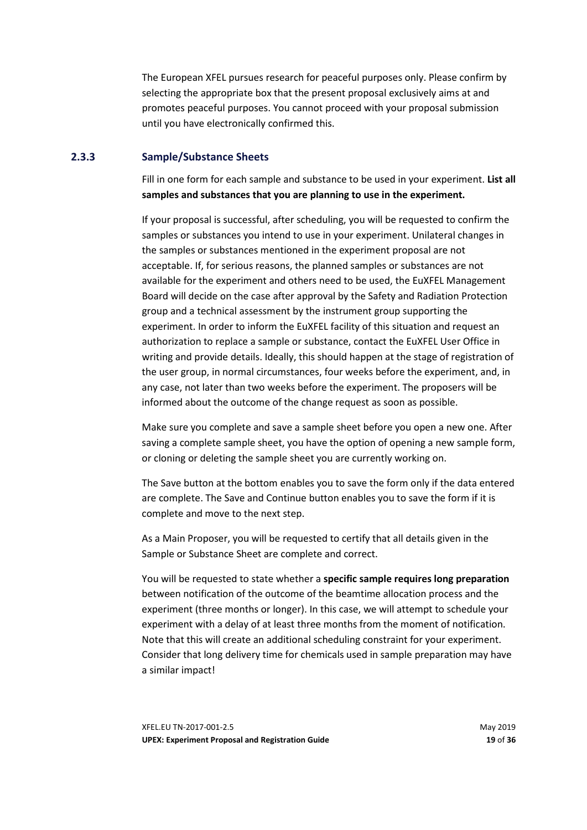The European XFEL pursues research for peaceful purposes only. Please confirm by selecting the appropriate box that the present proposal exclusively aims at and promotes peaceful purposes. You cannot proceed with your proposal submission until you have electronically confirmed this.

#### **2.3.3 Sample/Substance Sheets**

<span id="page-18-0"></span>Fill in one form for each sample and substance to be used in your experiment. **List all samples and substances that you are planning to use in the experiment.** 

If your proposal is successful, after scheduling, you will be requested to confirm the samples or substances you intend to use in your experiment. Unilateral changes in the samples or substances mentioned in the experiment proposal are not acceptable. If, for serious reasons, the planned samples or substances are not available for the experiment and others need to be used, the EuXFEL Management Board will decide on the case after approval by the Safety and Radiation Protection group and a technical assessment by the instrument group supporting the experiment. In order to inform the EuXFEL facility of this situation and request an authorization to replace a sample or substance, contact the EuXFEL User Office in writing and provide details. Ideally, this should happen at the stage of registration of the user group, in normal circumstances, four weeks before the experiment, and, in any case, not later than two weeks before the experiment. The proposers will be informed about the outcome of the change request as soon as possible.

Make sure you complete and save a sample sheet before you open a new one. After saving a complete sample sheet, you have the option of opening a new sample form, or cloning or deleting the sample sheet you are currently working on.

The Save button at the bottom enables you to save the form only if the data entered are complete. The Save and Continue button enables you to save the form if it is complete and move to the next step.

As a Main Proposer, you will be requested to certify that all details given in the Sample or Substance Sheet are complete and correct.

You will be requested to state whether a **specific sample requires long preparation**  between notification of the outcome of the beamtime allocation process and the experiment (three months or longer). In this case, we will attempt to schedule your experiment with a delay of at least three months from the moment of notification. Note that this will create an additional scheduling constraint for your experiment. Consider that long delivery time for chemicals used in sample preparation may have a similar impact!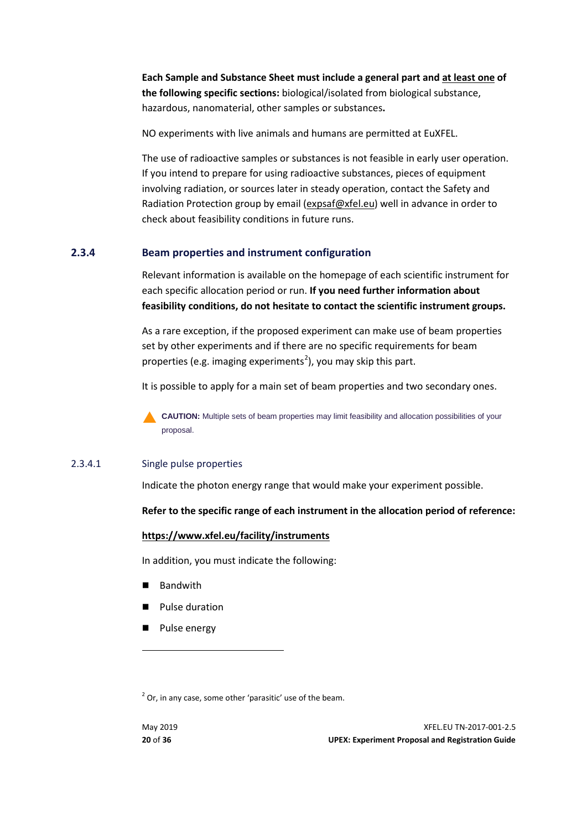**Each Sample and Substance Sheet must include a general part and at least one of the following specific sections:** biological/isolated from biological substance, hazardous, nanomaterial, other samples or substances**.** 

NO experiments with live animals and humans are permitted at EuXFEL.

The use of radioactive samples or substances is not feasible in early user operation. If you intend to prepare for using radioactive substances, pieces of equipment involving radiation, or sources later in steady operation, contact the Safety and Radiation Protection group by email [\(expsaf@xfel.eu\)](mailto:expsaf@xfel.eu) well in advance in order to check about feasibility conditions in future runs.

#### **2.3.4 Beam properties and instrument configuration**

<span id="page-19-0"></span>Relevant information is available on the homepage of each scientific instrument for each specific allocation period or run. **If you need further information about feasibility conditions, do not hesitate to contact the scientific instrument groups.**

As a rare exception, if the proposed experiment can make use of beam properties set by other experiments and if there are no specific requirements for beam properties (e.g. imaging experiments<sup>[2](#page-19-1)</sup>), you may skip this part.

It is possible to apply for a main set of beam properties and two secondary ones.

**CAUTION:** Multiple sets of beam properties may limit feasibility and allocation possibilities of your proposal.

#### 2.3.4.1 Single pulse properties

Indicate the photon energy range that would make your experiment possible.

#### **Refer to the specific range of each instrument in the allocation period of reference:**

#### **<https://www.xfel.eu/facility/instruments>**

In addition, you must indicate the following:

- Bandwith
- **Pulse duration**
- **Pulse energy**

<span id="page-19-1"></span> $2^{2}$  Or, in any case, some other 'parasitic' use of the beam.

**.**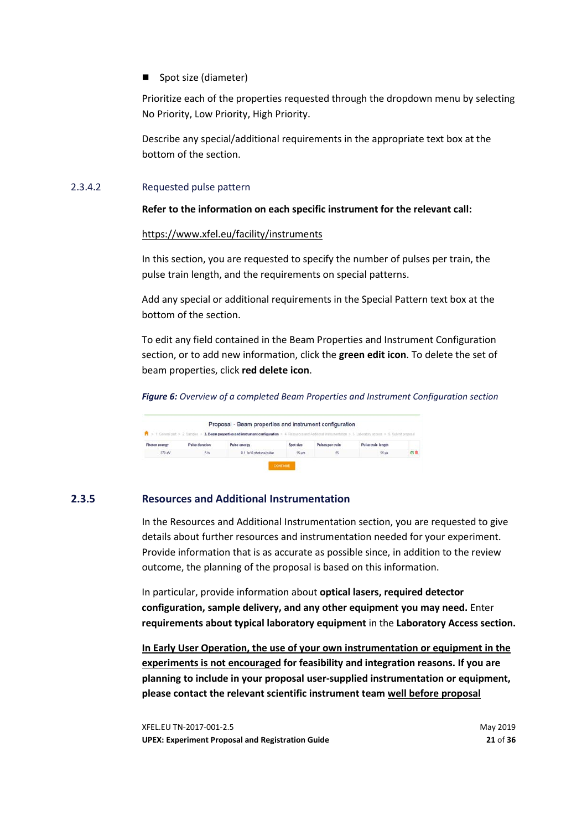#### ■ Spot size (diameter)

Prioritize each of the properties requested through the dropdown menu by selecting No Priority, Low Priority, High Priority.

Describe any special/additional requirements in the appropriate text box at the bottom of the section.

#### 2.3.4.2 Requested pulse pattern

#### **Refer to the information on each specific instrument for the relevant call:**

#### <https://www.xfel.eu/facility/instruments>

In this section, you are requested to specify the number of pulses per train, the pulse train length, and the requirements on special patterns.

Add any special or additional requirements in the Special Pattern text box at the bottom of the section.

To edit any field contained in the Beam Properties and Instrument Configuration section, or to add new information, click the **green edit icon**. To delete the set of beam properties, click **red delete icon**.

*Figure 6: Overview of a completed Beam Properties and Instrument Configuration section*

|               |                | 1 > 1 General part > 2 Gamples > 3, Beam properties and instrument configuration > 4 Rissources and Additional instrumentation > 6 Laboratory access > 6 Subinit proposal |           |                  |                    |                    |
|---------------|----------------|---------------------------------------------------------------------------------------------------------------------------------------------------------------------------|-----------|------------------|--------------------|--------------------|
| Photon energy | Pulse duration | Pulse energy                                                                                                                                                              | Spot size | Pulses per train | Pulse train length |                    |
| 270 eV        | 5th            | 0.1 1e10 photons/pulse                                                                                                                                                    | 55 um     | 55               | <b>66 us</b>       | $G$ $\blacksquare$ |

#### **2.3.5 Resources and Additional Instrumentation**

<span id="page-20-0"></span>In the Resources and Additional Instrumentation section, you are requested to give details about further resources and instrumentation needed for your experiment. Provide information that is as accurate as possible since, in addition to the review outcome, the planning of the proposal is based on this information.

In particular, provide information about **optical lasers, required detector configuration, sample delivery, and any other equipment you may need.** Enter **requirements about typical laboratory equipment** in the **Laboratory Access section.** 

**In Early User Operation, the use of your own instrumentation or equipment in the experiments is not encouraged for feasibility and integration reasons. If you are planning to include in your proposal user-supplied instrumentation or equipment, please contact the relevant scientific instrument team well before proposal** 

XFEL.EU TN-2017-001-2.5 May 2019 **UPEX: Experiment Proposal and Registration Guide 21** of **36**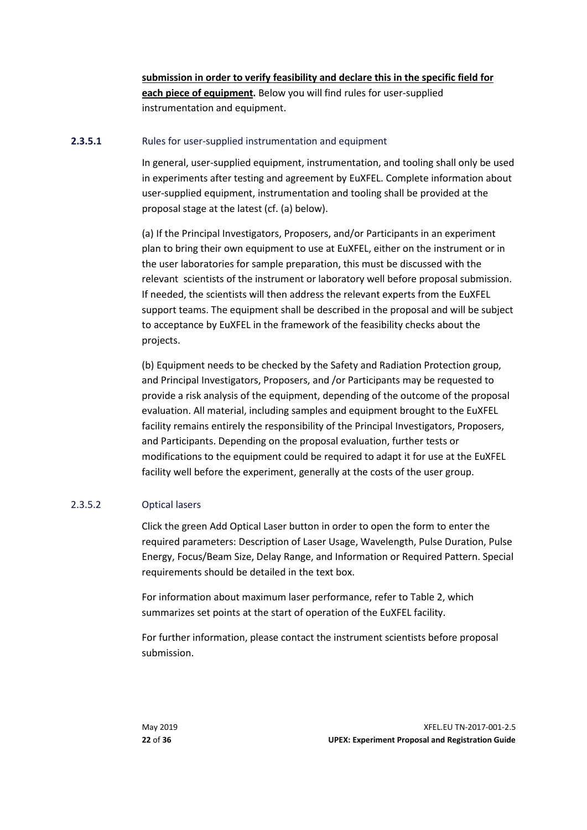**submission in order to verify feasibility and declare this in the specific field for each piece of equipment.** Below you will find rules for user-supplied instrumentation and equipment.

#### **2.3.5.1** Rules for user-supplied instrumentation and equipment

In general, user-supplied equipment, instrumentation, and tooling shall only be used in experiments after testing and agreement by EuXFEL. Complete information about user-supplied equipment, instrumentation and tooling shall be provided at the proposal stage at the latest (cf. (a) below).

(a) If the Principal Investigators, Proposers, and/or Participants in an experiment plan to bring their own equipment to use at EuXFEL, either on the instrument or in the user laboratories for sample preparation, this must be discussed with the relevant scientists of the instrument or laboratory well before proposal submission. If needed, the scientists will then address the relevant experts from the EuXFEL support teams. The equipment shall be described in the proposal and will be subject to acceptance by EuXFEL in the framework of the feasibility checks about the projects.

(b) Equipment needs to be checked by the Safety and Radiation Protection group, and Principal Investigators, Proposers, and /or Participants may be requested to provide a risk analysis of the equipment, depending of the outcome of the proposal evaluation. All material, including samples and equipment brought to the EuXFEL facility remains entirely the responsibility of the Principal Investigators, Proposers, and Participants. Depending on the proposal evaluation, further tests or modifications to the equipment could be required to adapt it for use at the EuXFEL facility well before the experiment, generally at the costs of the user group.

#### 2.3.5.2 Optical lasers

Click the green Add Optical Laser button in order to open the form to enter the required parameters: Description of Laser Usage, Wavelength, Pulse Duration, Pulse Energy, Focus/Beam Size, Delay Range, and Information or Required Pattern. Special requirements should be detailed in the text box.

For information about maximum laser performance, refer to [Table 2,](#page-22-0) which summarizes set points at the start of operation of the EuXFEL facility.

For further information, please contact the instrument scientists before proposal submission.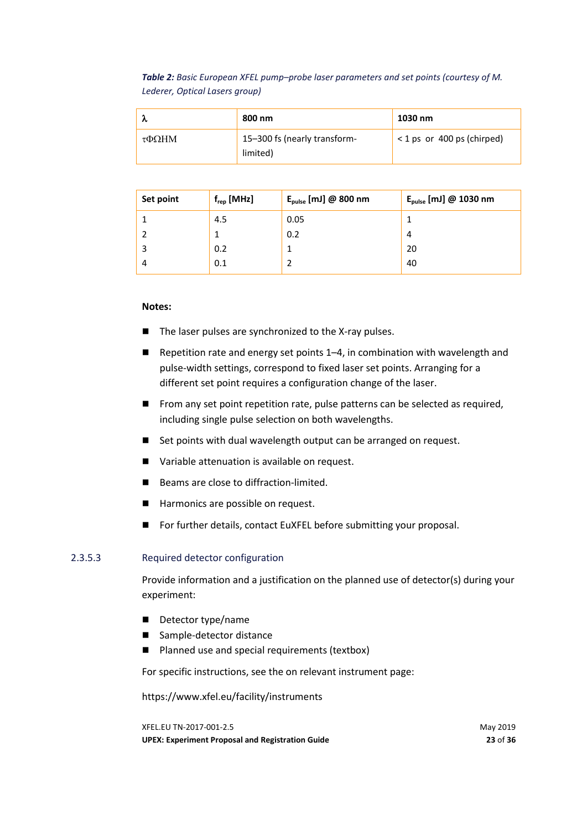<span id="page-22-0"></span>*Table 2: Basic European XFEL pump–probe laser parameters and set points (courtesy of M. Lederer, Optical Lasers group)*

|                    | 800 nm                                   | 1030 nm                   |
|--------------------|------------------------------------------|---------------------------|
| $\tau$ <b>OOHM</b> | 15-300 fs (nearly transform-<br>limited) | <1 ps or 400 ps (chirped) |

| Set point | $f_{rep}$ [MHz] | $E_{pulse}$ [mJ] @ 800 nm | $E_{pulse}$ [mJ] @ 1030 nm |
|-----------|-----------------|---------------------------|----------------------------|
|           | 4.5             | 0.05                      |                            |
|           |                 | 0.2                       | 4                          |
| 3         | 0.2             |                           | 20                         |
| 4         | 0.1             |                           | 40                         |

#### **Notes:**

- The laser pulses are synchronized to the X-ray pulses.
- Repetition rate and energy set points 1–4, in combination with wavelength and pulse-width settings, correspond to fixed laser set points. Arranging for a different set point requires a configuration change of the laser.
- From any set point repetition rate, pulse patterns can be selected as required, including single pulse selection on both wavelengths.
- Set points with dual wavelength output can be arranged on request.
- Variable attenuation is available on request.
- Beams are close to diffraction-limited.
- Harmonics are possible on request.
- For further details, contact EuXFEL before submitting your proposal.

#### 2.3.5.3 Required detector configuration

Provide information and a justification on the planned use of detector(s) during your experiment:

- Detector type/name
- Sample-detector distance
- Planned use and special requirements (textbox)

For specific instructions, see the on relevant instrument page:

https://www.xfel.eu/facility/instruments

XFEL.EU TN-2017-001-2.5 May 2019 **UPEX: Experiment Proposal and Registration Guide 23** of **36**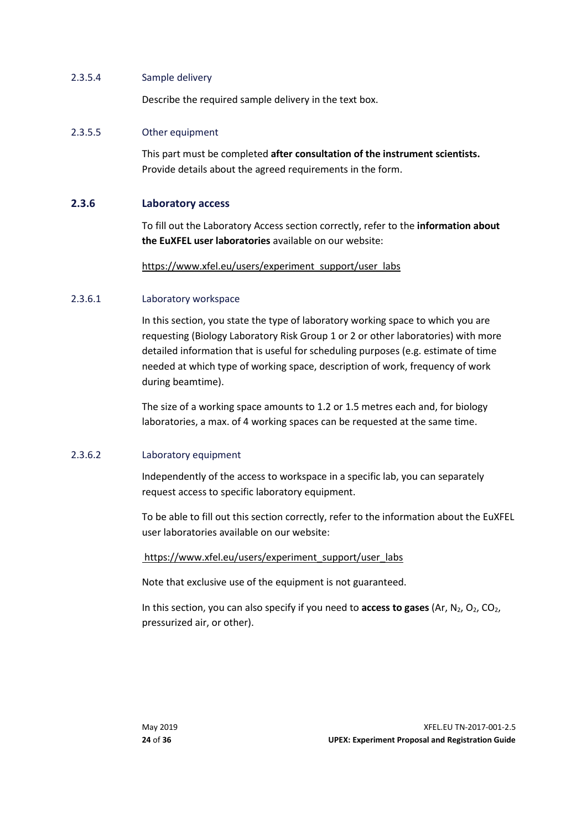#### 2.3.5.4 Sample delivery

Describe the required sample delivery in the text box.

#### 2.3.5.5 Other equipment

This part must be completed **after consultation of the instrument scientists.**  Provide details about the agreed requirements in the form.

#### **2.3.6 Laboratory access**

<span id="page-23-0"></span>To fill out the Laboratory Access section correctly, refer to the **information about the EuXFEL user laboratories** available on our website:

[https://www.xfel.eu/users/experiment\\_support/user\\_labs](https://www.xfel.eu/users/experiment_support/user_labs)

#### 2.3.6.1 Laboratory workspace

In this section, you state the type of laboratory working space to which you are requesting (Biology Laboratory Risk Group 1 or 2 or other laboratories) with more detailed information that is useful for scheduling purposes (e.g. estimate of time needed at which type of working space, description of work, frequency of work during beamtime).

The size of a working space amounts to 1.2 or 1.5 metres each and, for biology laboratories, a max. of 4 working spaces can be requested at the same time.

#### 2.3.6.2 Laboratory equipment

Independently of the access to workspace in a specific lab, you can separately request access to specific laboratory equipment.

To be able to fill out this section correctly, refer to the information about the EuXFEL user laboratories available on our website:

#### [https://www.xfel.eu/users/experiment\\_support/user\\_labs](https://www.xfel.eu/users/experiment_support/user_labs)

Note that exclusive use of the equipment is not guaranteed.

In this section, you can also specify if you need to **access to gases** (Ar, N<sub>2</sub>, O<sub>2</sub>, CO<sub>2</sub>, pressurized air, or other).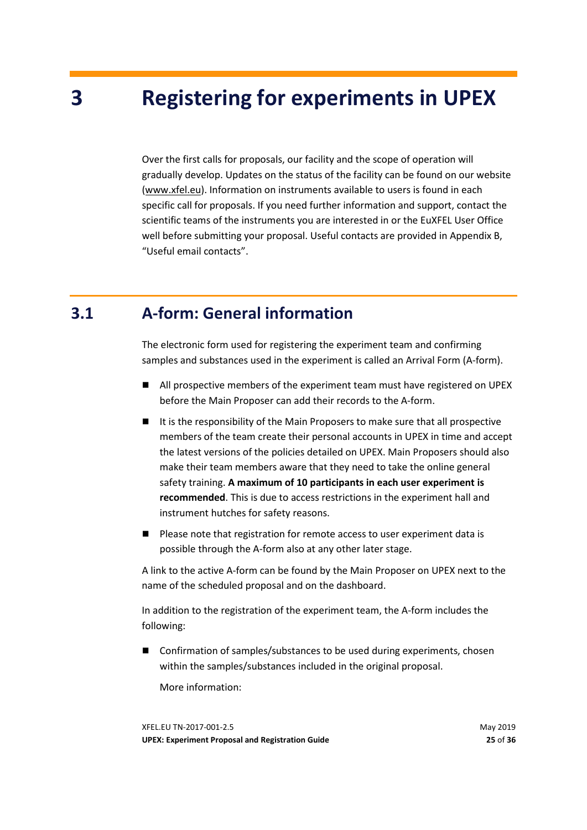# <span id="page-24-0"></span>**3 Registering for experiments in UPEX**

Over the first calls for proposals, our facility and the scope of operation will gradually develop. Updates on the status of the facility can be found on our website [\(www.xfel.eu\)](http://www.xfel.eu/). Information on instruments available to users is found in each specific call for proposals. If you need further information and support, contact the scientific teams of the instruments you are interested in or the EuXFEL User Office well before submitting your proposal. Useful contacts are provided in Appendix [B,](#page-35-0) ["Useful email contacts"](#page-35-0).

### **3.1 A-form: General information**

<span id="page-24-1"></span>The electronic form used for registering the experiment team and confirming samples and substances used in the experiment is called an Arrival Form (A-form).

- All prospective members of the experiment team must have registered on UPEX before the Main Proposer can add their records to the A-form.
- It is the responsibility of the Main Proposers to make sure that all prospective members of the team create their personal accounts in UPEX in time and accept the latest versions of the policies detailed on UPEX. Main Proposers should also make their team members aware that they need to take the online general safety training. **A maximum of 10 participants in each user experiment is recommended**. This is due to access restrictions in the experiment hall and instrument hutches for safety reasons.
- Please note that registration for remote access to user experiment data is possible through the A-form also at any other later stage.

A link to the active A-form can be found by the Main Proposer on UPEX next to the name of the scheduled proposal and on the dashboard.

In addition to the registration of the experiment team, the A-form includes the following:

■ Confirmation of samples/substances to be used during experiments, chosen within the samples/substances included in the original proposal.

More information: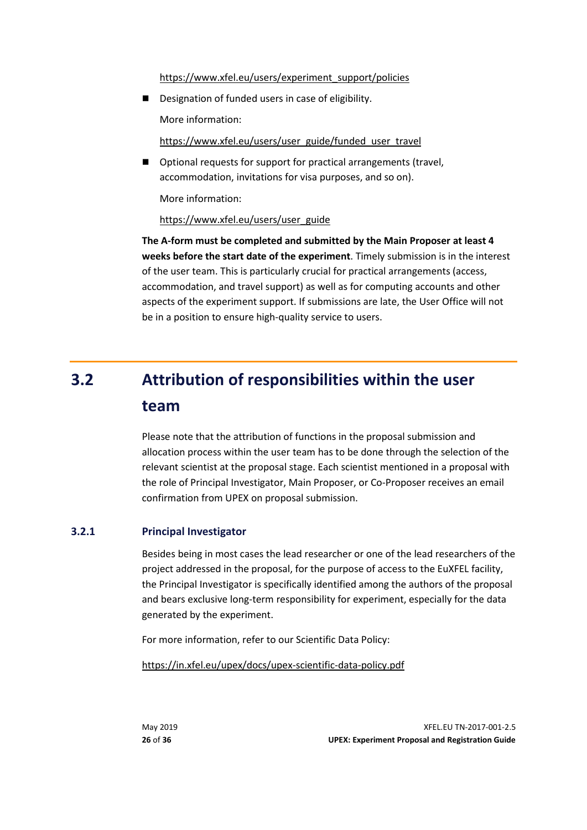[https://www.xfel.eu/users/experiment\\_support/policies](https://www.xfel.eu/users/experiment_support/policies)

Designation of funded users in case of eligibility.

More information:

[https://www.xfel.eu/users/user\\_guide/funded\\_user\\_travel](https://www.xfel.eu/users/user_guide/funded_user_travel)

■ Optional requests for support for practical arrangements (travel, accommodation, invitations for visa purposes, and so on).

More information:

#### [https://www.xfel.eu/users/user\\_guide](https://www.xfel.eu/users/user_guide)

**The A-form must be completed and submitted by the Main Proposer at least 4 weeks before the start date of the experiment**. Timely submission is in the interest of the user team. This is particularly crucial for practical arrangements (access, accommodation, and travel support) as well as for computing accounts and other aspects of the experiment support. If submissions are late, the User Office will not be in a position to ensure high-quality service to users.

# <span id="page-25-0"></span>**3.2 Attribution of responsibilities within the user team**

Please note that the attribution of functions in the proposal submission and allocation process within the user team has to be done through the selection of the relevant scientist at the proposal stage. Each scientist mentioned in a proposal with the role of Principal Investigator, Main Proposer, or Co-Proposer receives an email confirmation from UPEX on proposal submission.

#### **3.2.1 Principal Investigator**

<span id="page-25-1"></span>Besides being in most cases the lead researcher or one of the lead researchers of the project addressed in the proposal, for the purpose of access to the EuXFEL facility, the Principal Investigator is specifically identified among the authors of the proposal and bears exclusive long-term responsibility for experiment, especially for the data generated by the experiment.

For more information, refer to our Scientific Data Policy:

<https://in.xfel.eu/upex/docs/upex-scientific-data-policy.pdf>

May 2019 XFEL.EU TN-2017-001-2.5 **26** of **36 UPEX: Experiment Proposal and Registration Guide**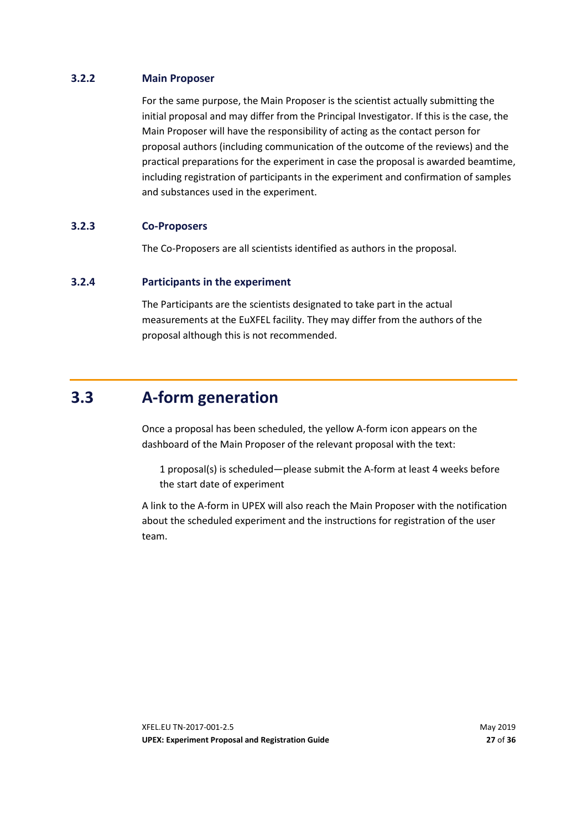#### **3.2.2 Main Proposer**

<span id="page-26-1"></span>For the same purpose, the Main Proposer is the scientist actually submitting the initial proposal and may differ from the Principal Investigator. If this is the case, the Main Proposer will have the responsibility of acting as the contact person for proposal authors (including communication of the outcome of the reviews) and the practical preparations for the experiment in case the proposal is awarded beamtime, including registration of participants in the experiment and confirmation of samples and substances used in the experiment.

#### **3.2.3 Co-Proposers**

<span id="page-26-3"></span><span id="page-26-2"></span>The Co-Proposers are all scientists identified as authors in the proposal.

#### **3.2.4 Participants in the experiment**

<span id="page-26-0"></span>The Participants are the scientists designated to take part in the actual measurements at the EuXFEL facility. They may differ from the authors of the proposal although this is not recommended.

### **3.3 A-form generation**

Once a proposal has been scheduled, the yellow A-form icon appears on the dashboard of the Main Proposer of the relevant proposal with the text:

1 proposal(s) is scheduled—please submit the A-form at least 4 weeks before the start date of experiment

A link to the A-form in UPEX will also reach the Main Proposer with the notification about the scheduled experiment and the instructions for registration of the user team.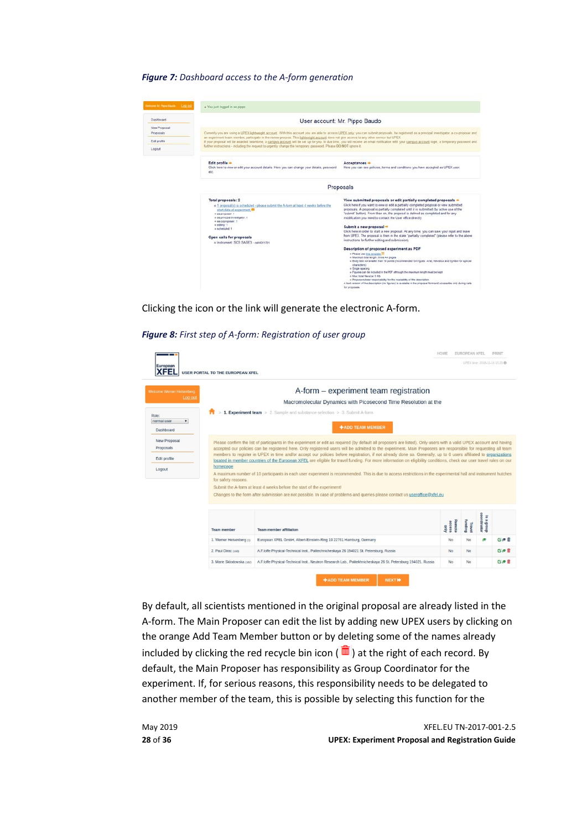#### *Figure 7: Dashboard access to the A-form generation*

| cione bit Pippo Bacchi Log Cut | . You just logged in as pippo-                                                                                                                                                                                                                                                                                                               |                                                                                                                                                                                                                                                                                                                                                                                                                                                                                                                                                                                                                                                                                            |  |  |
|--------------------------------|----------------------------------------------------------------------------------------------------------------------------------------------------------------------------------------------------------------------------------------------------------------------------------------------------------------------------------------------|--------------------------------------------------------------------------------------------------------------------------------------------------------------------------------------------------------------------------------------------------------------------------------------------------------------------------------------------------------------------------------------------------------------------------------------------------------------------------------------------------------------------------------------------------------------------------------------------------------------------------------------------------------------------------------------------|--|--|
| Dashboard                      |                                                                                                                                                                                                                                                                                                                                              | User account: Mr. Pippo Baudo                                                                                                                                                                                                                                                                                                                                                                                                                                                                                                                                                                                                                                                              |  |  |
| New Proposal<br>Proposals      | Currently you are using a UPEX lightweight account. With this account you are able to access UPEX only, you can submit proposals, be registered as a principal investigator, a co-proposer and<br>an experiment team member, participate in the review process. This lightweight account does not give access to any other service but UPEX. |                                                                                                                                                                                                                                                                                                                                                                                                                                                                                                                                                                                                                                                                                            |  |  |
| Fidt profile                   |                                                                                                                                                                                                                                                                                                                                              | If your proposal will be awarded beamtime, a campus account will be set up for you. In due time, you will receive an email notification with your campus account login, a temporary password and                                                                                                                                                                                                                                                                                                                                                                                                                                                                                           |  |  |
| Logout                         | further instructions - including the request to urgently change the temporary password. Please DO NOT ignore it.                                                                                                                                                                                                                             |                                                                                                                                                                                                                                                                                                                                                                                                                                                                                                                                                                                                                                                                                            |  |  |
|                                | Edit profile -<br>Click here to view or edit your account details. Here you can change your details, password<br>etc.                                                                                                                                                                                                                        | Acceptances +<br>Here you can see policies, terms and conditions you have accepted as UPEX user.                                                                                                                                                                                                                                                                                                                                                                                                                                                                                                                                                                                           |  |  |
|                                |                                                                                                                                                                                                                                                                                                                                              | Proposals                                                                                                                                                                                                                                                                                                                                                                                                                                                                                                                                                                                                                                                                                  |  |  |
|                                | Total proposals: 2<br>o 1 proposal(s) is scheduled - please submit the A-form at least 4 weeks before the<br>start date of experiment <sup>ex-</sup><br># as proposer. 1<br>» as principal investigator: 1<br>= as coproposer: 5<br>« editing 1<br>a scheduled: 1<br>Open calls for proposals<br>o Instrument: SCS SASE3 - net#201701        | View submitted proposals or edit partially completed proposals +<br>Click here if you want to view or edit a partially completed proposal or view submitted.<br>proposals. A proposal is partially completed until it is submitted (by active use of the<br>'submit' button). From then on, the proposal is defined as completed and for any<br>modification you need to contact the User office directly.<br>Submit a new proposal +<br>Click here in order to start a new proposal. At any time, you can save your input and leave<br>from UPEX. The proposal is then in the state "partially completed" (please refer to the above<br>instructions for further editing and submission). |  |  |
|                                |                                                                                                                                                                                                                                                                                                                                              | Description of proposed experiment as PDF<br>· Please use this template .<br>» Maximum total length: Three A4 pages<br>a Body text not smaler than 10 points (recommended font types: Arial, Helvetica and Symbol for special<br><b>Characters!</b><br>o Single spacing<br>a Figures can be included in the PDF athough the maximum length must be kept<br>o Max total für alze: 5 Mb<br>» Proposers bear responsibility for the readability of the description.<br>A fast version of the description (no figures) is available in the proposal form and accessible only during calls<br>for proposals.                                                                                    |  |  |

Clicking the icon or the link will generate the electronic A-form.

#### *Figure 8: First step of A-form: Registration of user group*

| European<br>XFEl                                        | <b>USER PORTAL TO THE EUROPEAN XFEL</b>                                                                   |                                                                                                                                                                                                                                                                                                                                                                                                                                                                                                                                                                                                                                           |                          |                  | UPEX time: 2018-11-16 15:23 @ |     |
|---------------------------------------------------------|-----------------------------------------------------------------------------------------------------------|-------------------------------------------------------------------------------------------------------------------------------------------------------------------------------------------------------------------------------------------------------------------------------------------------------------------------------------------------------------------------------------------------------------------------------------------------------------------------------------------------------------------------------------------------------------------------------------------------------------------------------------------|--------------------------|------------------|-------------------------------|-----|
| Welcome Werner Heisenberg.                              |                                                                                                           | A-form – experiment team registration                                                                                                                                                                                                                                                                                                                                                                                                                                                                                                                                                                                                     |                          |                  |                               |     |
| Log out                                                 |                                                                                                           | Macromolecular Dynamics with Picosecond Time Resolution at the                                                                                                                                                                                                                                                                                                                                                                                                                                                                                                                                                                            |                          |                  |                               |     |
|                                                         |                                                                                                           | 1. Experiment team > 2. Sample and substance selection > 3. Submit A-form                                                                                                                                                                                                                                                                                                                                                                                                                                                                                                                                                                 |                          |                  |                               |     |
| Role:<br>normal user<br>$\pmb{\mathrm{v}}$<br>Dashboard |                                                                                                           | <b>+ADD TEAM MEMBER</b>                                                                                                                                                                                                                                                                                                                                                                                                                                                                                                                                                                                                                   |                          |                  |                               |     |
| <b>New Proposal</b><br>Proposals                        | homepage<br>for safety reasons.<br>Submit the A-form at least 4 weeks before the start of the experiment! | Please confirm the list of participants in the experiment or edit as required (by default all proposers are listed). Only users with a valid UPEX account and having<br>accepted our policies can be registered here. Only registered users will be admitted to the experiment. Main Proposers are responsible for requesting all team                                                                                                                                                                                                                                                                                                    |                          |                  |                               |     |
| Edit profile<br>Logout                                  |                                                                                                           | members to register in UPEX in time and/or accept our policies before registration, if not already done so. Generally, up to 6 users affiliated to organizations<br>located in member countries of the European XFEL are eligible for travel funding. For more information on eligibility conditions, check our user travel rules on our<br>A maximum number of 10 participants in each user experiment is recommended. This is due to access restrictions in the experimental hall and instrument hutches<br>Changes to the form after submission are not possible. In case of problems and queries please contact us useroffice@xfel.eu |                          |                  |                               |     |
|                                                         | <b>Team member</b>                                                                                        | <b>Team member affiliation</b>                                                                                                                                                                                                                                                                                                                                                                                                                                                                                                                                                                                                            | Remote<br>access<br>only | funding<br>Trave | coordinator<br>s a group      |     |
|                                                         | 1. Werner Heisenberg (1)                                                                                  | European XFEL GmbH, Albert-Einstein-Ring 19 22761 Hamburg, Germany                                                                                                                                                                                                                                                                                                                                                                                                                                                                                                                                                                        | No                       | No               | f.                            | 医病前 |
|                                                         | 2. Paul Dirac (168)                                                                                       | A.F.Ioffe Physical-Technical Inst., Politechnicheskaya 26 194021 St. Petersburg, Russia                                                                                                                                                                                                                                                                                                                                                                                                                                                                                                                                                   | <b>No</b>                | <b>No</b>        |                               | 区声前 |

By default, all scientists mentioned in the original proposal are already listed in the A-form. The Main Proposer can edit the list by adding new UPEX users by clicking on the orange Add Team Member button or by deleting some of the names already included by clicking the red recycle bin icon ( $\blacksquare$ ) at the right of each record. By default, the Main Proposer has responsibility as Group Coordinator for the experiment. If, for serious reasons, this responsibility needs to be delegated to another member of the team, this is possible by selecting this function for the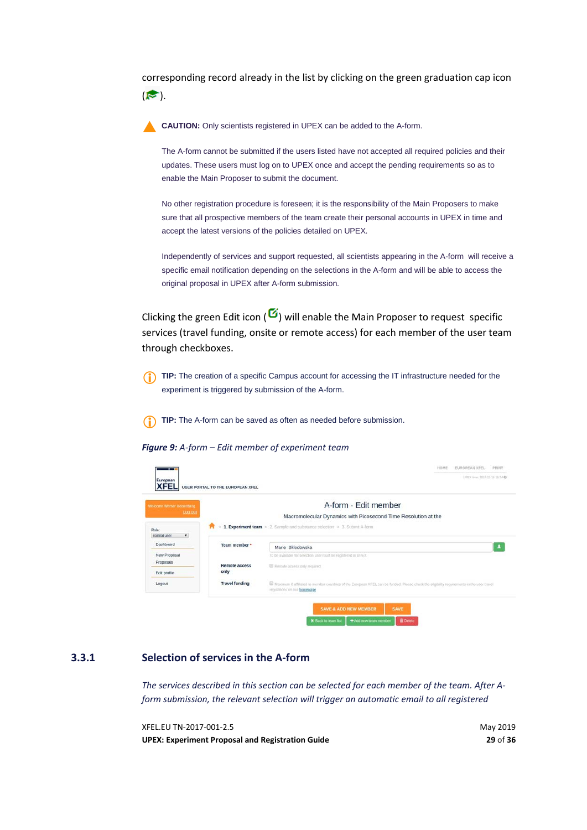corresponding record already in the list by clicking on the green graduation cap icon  $($ 

**CAUTION:** Only scientists registered in UPEX can be added to the A-form.

The A-form cannot be submitted if the users listed have not accepted all required policies and their updates. These users must log on to UPEX once and accept the pending requirements so as to enable the Main Proposer to submit the document.

No other registration procedure is foreseen; it is the responsibility of the Main Proposers to make sure that all prospective members of the team create their personal accounts in UPEX in time and accept the latest versions of the policies detailed on UPEX.

Independently of services and support requested, all scientists appearing in the A-form will receive a specific email notification depending on the selections in the A-form and will be able to access the original proposal in UPEX after A-form submission.

Clicking the green Edit icon  $\left( \frac{0}{2} \right)$  will enable the Main Proposer to request specific services (travel funding, onsite or remote access) for each member of the user team through checkboxes.

**TIP:** The creation of a specific Campus account for accessing the IT infrastructure needed for the experiment is triggered by submission of the A-form.

**TIP:** The A-form can be saved as often as needed before submission.

*Figure 9: A-form – Edit member of experiment team*

| Welcome Werner Heisenberg                  |                       | A-form - Edit member                                                                                                                                                     |
|--------------------------------------------|-----------------------|--------------------------------------------------------------------------------------------------------------------------------------------------------------------------|
| Log.cut                                    |                       | Macromolecular Dynamics with Picosecond Time Resolution at the                                                                                                           |
| Role:<br>normal user<br>$\pmb{\mathrm{v}}$ | π                     | 1. Experiment team > 2. Sample and substance selection > 3. Submit A-form                                                                                                |
| Dashboard                                  | Team member *         | Marie Skłodowska                                                                                                                                                         |
| New Proposal<br>Proposals                  | <b>Remote access</b>  | To be available for selection user must be registered in UPEX<br>Ramote access only required                                                                             |
| Edit profile                               | only                  |                                                                                                                                                                          |
| Logout                                     | <b>Travel funding</b> | Maximum 6 affiliated to member countries of the European XFEL can be funded. Please check the eligibility requirements in the user travel<br>regulations on our homepage |

#### **3.3.1 Selection of services in the A-form**

<span id="page-28-0"></span>*The services described in this section can be selected for each member of the team. After Aform submission, the relevant selection will trigger an automatic email to all registered* 

XFEL.EU TN-2017-001-2.5 May 2019 **UPEX: Experiment Proposal and Registration Guide 29** of **36**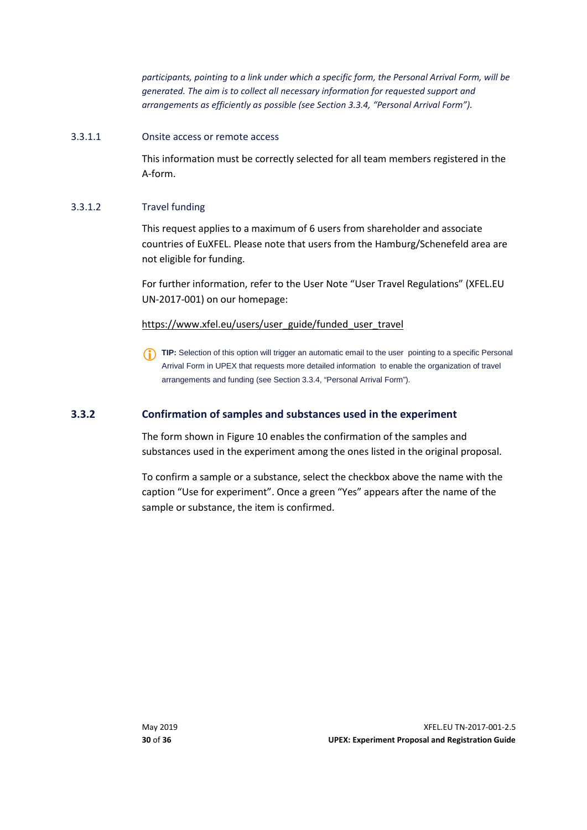*participants, pointing to a link under which a specific form, the Personal Arrival Form, will be generated. The aim is to collect all necessary information for requested support and arrangements as efficiently as possible (see Section [3.3.4,](#page-30-0) ["Personal Arrival Form"](#page-30-0)).*

#### 3.3.1.1 Onsite access or remote access

This information must be correctly selected for all team members registered in the A-form.

#### 3.3.1.2 Travel funding

This request applies to a maximum of 6 users from shareholder and associate countries of EuXFEL. Please note that users from the Hamburg/Schenefeld area are not eligible for funding.

For further information, refer to the User Note "User Travel Regulations" (XFEL.EU UN-2017-001) on our homepage:

#### [https://www.xfel.eu/users/user\\_guide/funded\\_user\\_travel](https://www.xfel.eu/users/user_guide/funded_user_travel)

**TIP:** Selection of this option will trigger an automatic email to the user pointing to a specific Personal Arrival Form in UPEX that requests more detailed information to enable the organization of travel arrangements and funding (see Section [3.3.4, "Personal Arrival Form"](#page-30-0)).

#### **3.3.2 Confirmation of samples and substances used in the experiment**

<span id="page-29-0"></span>The form shown in [Figure 10](#page-30-2) enables the confirmation of the samples and substances used in the experiment among the ones listed in the original proposal.

To confirm a sample or a substance, select the checkbox above the name with the caption "Use for experiment". Once a green "Yes" appears after the name of the sample or substance, the item is confirmed.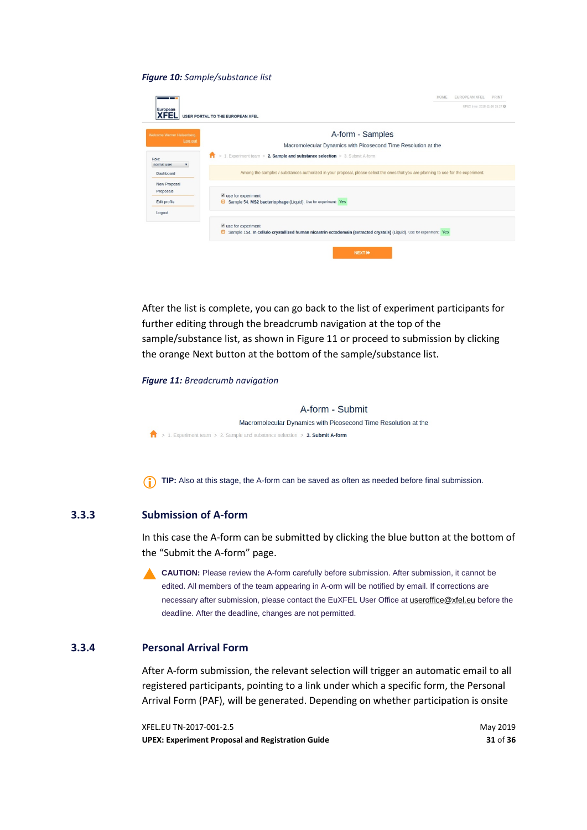#### <span id="page-30-2"></span>*Figure 10: Sample/substance list*

|                                        | HOME<br><b>EUROPEAN XFEL</b><br><b>PRINT</b>                                                                                                                                               |
|----------------------------------------|--------------------------------------------------------------------------------------------------------------------------------------------------------------------------------------------|
| European<br>KFEI                       | UPEX time: 2018-11-16 15:27 @<br><b>USER PORTAL TO THE EUROPEAN XFEL</b>                                                                                                                   |
| Welcome Werner Heisenberg.             | A-form - Samples                                                                                                                                                                           |
| Log out                                | Macromolecular Dynamics with Picosecond Time Resolution at the                                                                                                                             |
| Role:<br>normal user<br>$\blacksquare$ | > 1. Experiment team > 2. Sample and substance selection > 3. Submit A-form<br>π                                                                                                           |
| Dashboard                              | Among the samples / substances authorized in your proposal, please select the ones that you are planning to use for the experiment.                                                        |
| New Proposal<br>Proposals              | $\blacksquare$ use for experiment                                                                                                                                                          |
| Edit profile                           | Sample 54. MS2 bacteriophage (Liquid). Use for experiment: Yes<br>▣                                                                                                                        |
| Logout                                 |                                                                                                                                                                                            |
|                                        | $\blacktriangleright$ use for experiment<br>Sample 154. In cellulo crystallized human nicastrin ectodomain (extracted crystals) (Liquid). Use for experiment: Yes<br>$\boldsymbol{\Theta}$ |
|                                        | <b>NEXTIN</b>                                                                                                                                                                              |

After the list is complete, you can go back to the list of experiment participants for further editing through the breadcrumb navigation at the top of the sample/substance list, as shown in [Figure 11](#page-30-3) or proceed to submission by clicking the orange Next button at the bottom of the sample/substance list.

#### <span id="page-30-3"></span>*Figure 11: Breadcrumb navigation*

A-form - Submit Macromolecular Dynamics with Picosecond Time Resolution at the > 1. Experiment team > 2. Sample and substance selection > 3. Submit A-form

<span id="page-30-1"></span>**TIP:** Also at this stage, the A-form can be saved as often as needed before final submission.

#### **3.3.3 Submission of A-form**

In this case the A-form can be submitted by clicking the blue button at the bottom of the "Submit the A-form" page.

**CAUTION:** Please review the A-form carefully before submission. After submission, it cannot be edited. All members of the team appearing in A-orm will be notified by email. If corrections are necessary after submission, please contact the EuXFEL User Office at [useroffice@xfel.eu](mailto:useroffice@xfel.eu) before the deadline. After the deadline, changes are not permitted.

#### **3.3.4 Personal Arrival Form**

<span id="page-30-0"></span>After A-form submission, the relevant selection will trigger an automatic email to all registered participants, pointing to a link under which a specific form, the Personal Arrival Form (PAF), will be generated. Depending on whether participation is onsite

XFEL.EU TN-2017-001-2.5 May 2019 **UPEX: Experiment Proposal and Registration Guide 31** of **36**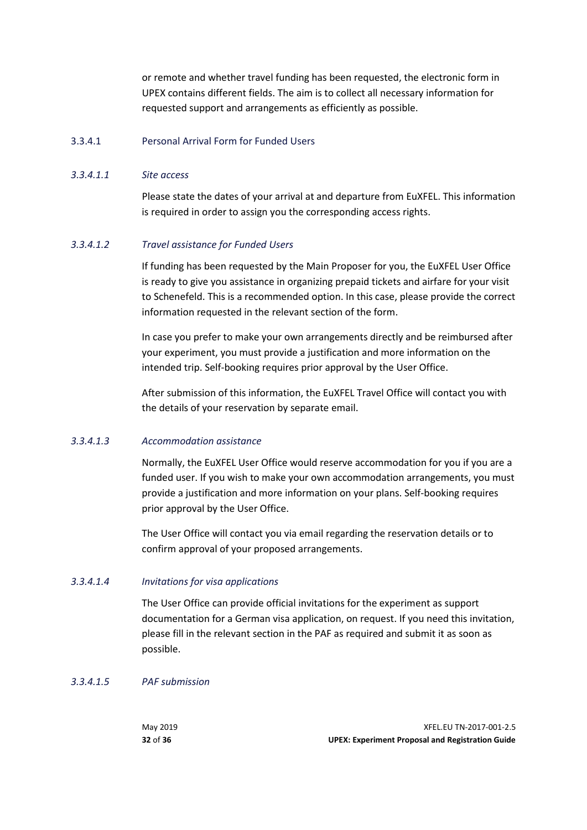or remote and whether travel funding has been requested, the electronic form in UPEX contains different fields. The aim is to collect all necessary information for requested support and arrangements as efficiently as possible.

#### 3.3.4.1 Personal Arrival Form for Funded Users

#### *3.3.4.1.1 Site access*

Please state the dates of your arrival at and departure from EuXFEL. This information is required in order to assign you the corresponding access rights.

#### *3.3.4.1.2 Travel assistance for Funded Users*

If funding has been requested by the Main Proposer for you, the EuXFEL User Office is ready to give you assistance in organizing prepaid tickets and airfare for your visit to Schenefeld. This is a recommended option. In this case, please provide the correct information requested in the relevant section of the form.

In case you prefer to make your own arrangements directly and be reimbursed after your experiment, you must provide a justification and more information on the intended trip. Self-booking requires prior approval by the User Office.

After submission of this information, the EuXFEL Travel Office will contact you with the details of your reservation by separate email.

#### *3.3.4.1.3 Accommodation assistance*

Normally, the EuXFEL User Office would reserve accommodation for you if you are a funded user. If you wish to make your own accommodation arrangements, you must provide a justification and more information on your plans. Self-booking requires prior approval by the User Office.

The User Office will contact you via email regarding the reservation details or to confirm approval of your proposed arrangements.

#### *3.3.4.1.4 Invitations for visa applications*

The User Office can provide official invitations for the experiment as support documentation for a German visa application, on request. If you need this invitation, please fill in the relevant section in the PAF as required and submit it as soon as possible.

#### *3.3.4.1.5 PAF submission*

| May 2019 | XFEL.EU TN-2017-001-2.5                                 |
|----------|---------------------------------------------------------|
| 32 of 36 | <b>UPEX: Experiment Proposal and Registration Guide</b> |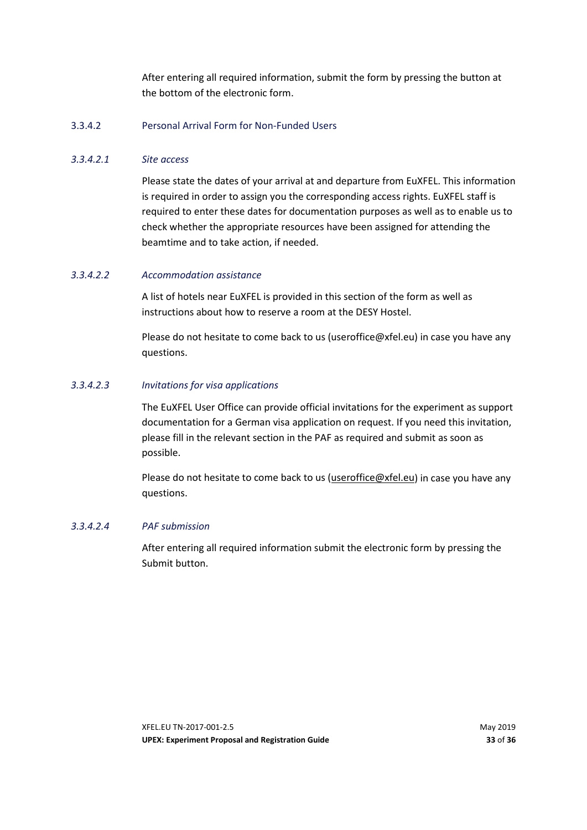After entering all required information, submit the form by pressing the button at the bottom of the electronic form.

#### 3.3.4.2 Personal Arrival Form for Non-Funded Users

#### *3.3.4.2.1 Site access*

Please state the dates of your arrival at and departure from EuXFEL. This information is required in order to assign you the corresponding access rights. EuXFEL staff is required to enter these dates for documentation purposes as well as to enable us to check whether the appropriate resources have been assigned for attending the beamtime and to take action, if needed.

#### *3.3.4.2.2 Accommodation assistance*

A list of hotels near EuXFEL is provided in this section of the form as well as instructions about how to reserve a room at the DESY Hostel.

Please do not hesitate to come back to us (useroffice@xfel.eu) in case you have any questions.

#### *3.3.4.2.3 Invitations for visa applications*

The EuXFEL User Office can provide official invitations for the experiment as support documentation for a German visa application on request. If you need this invitation, please fill in the relevant section in the PAF as required and submit as soon as possible.

Please do not hesitate to come back to us [\(useroffice@xfel.eu\)](mailto:useroffice@xfel.eu) in case you have any questions.

#### *3.3.4.2.4 PAF submission*

After entering all required information submit the electronic form by pressing the Submit button.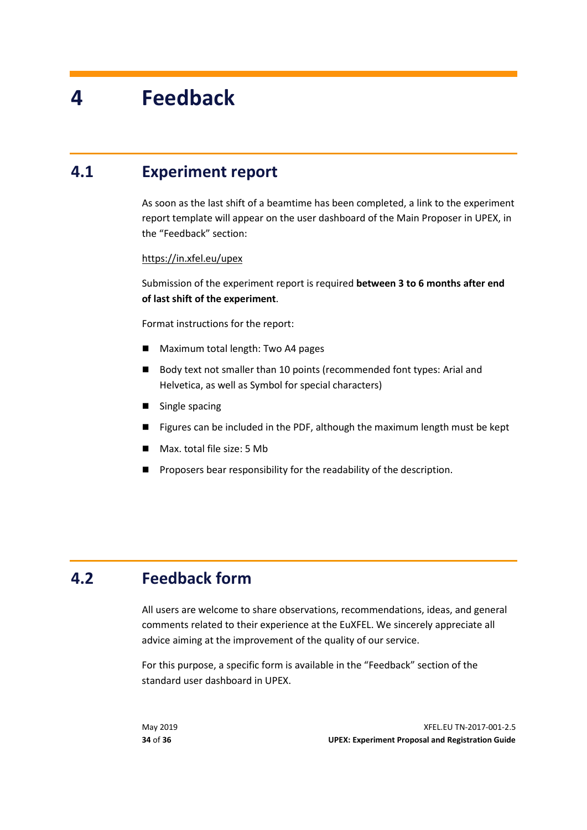# <span id="page-33-0"></span>**4 Feedback**

### **4.1 Experiment report**

<span id="page-33-1"></span>As soon as the last shift of a beamtime has been completed, a link to the experiment report template will appear on the user dashboard of the Main Proposer in UPEX, in the "Feedback" section:

#### <https://in.xfel.eu/upex>

Submission of the experiment report is required **between 3 to 6 months after end of last shift of the experiment**.

Format instructions for the report:

- Maximum total length: Two A4 pages
- Body text not smaller than 10 points (recommended font types: Arial and Helvetica, as well as Symbol for special characters)
- Single spacing
- Figures can be included in the PDF, although the maximum length must be kept
- Max. total file size: 5 Mb
- <span id="page-33-2"></span>Proposers bear responsibility for the readability of the description.

### **4.2 Feedback form**

All users are welcome to share observations, recommendations, ideas, and general comments related to their experience at the EuXFEL. We sincerely appreciate all advice aiming at the improvement of the quality of our service.

For this purpose, a specific form is available in the "Feedback" section of the standard user dashboard in UPEX.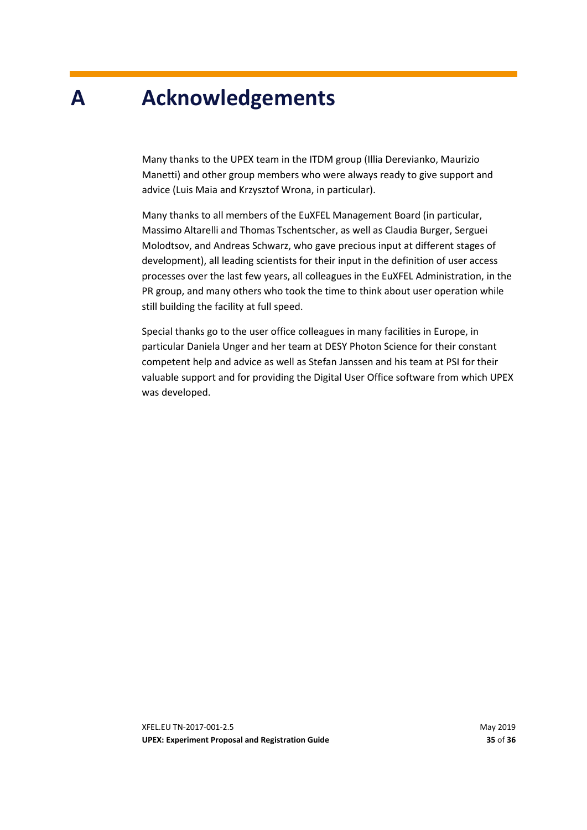# <span id="page-34-0"></span>**A Acknowledgements**

Many thanks to the UPEX team in the ITDM group (Illia Derevianko, Maurizio Manetti) and other group members who were always ready to give support and advice (Luis Maia and Krzysztof Wrona, in particular).

Many thanks to all members of the EuXFEL Management Board (in particular, Massimo Altarelli and Thomas Tschentscher, as well as Claudia Burger, Serguei Molodtsov, and Andreas Schwarz, who gave precious input at different stages of development), all leading scientists for their input in the definition of user access processes over the last few years, all colleagues in the EuXFEL Administration, in the PR group, and many others who took the time to think about user operation while still building the facility at full speed.

Special thanks go to the user office colleagues in many facilities in Europe, in particular Daniela Unger and her team at DESY Photon Science for their constant competent help and advice as well as Stefan Janssen and his team at PSI for their valuable support and for providing the Digital User Office software from which UPEX was developed.